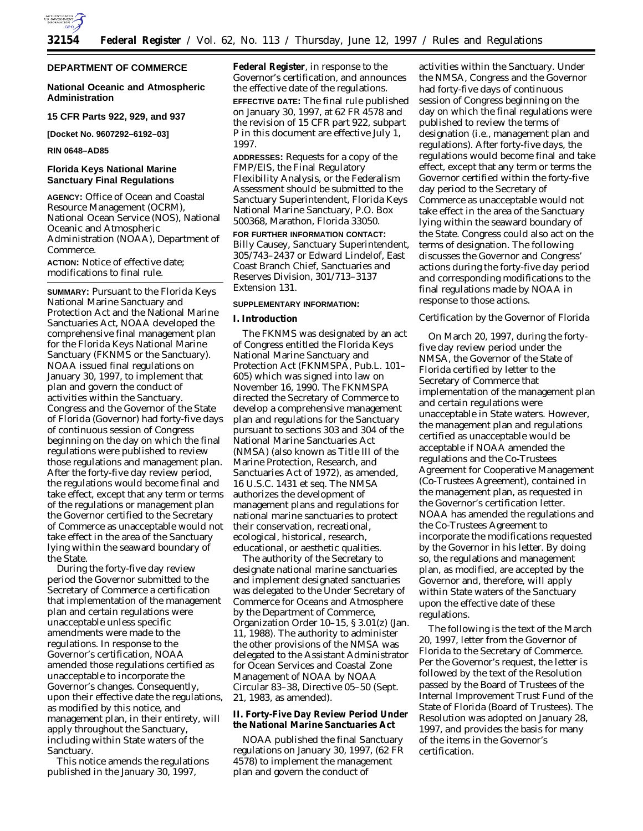

## **DEPARTMENT OF COMMERCE**

### **National Oceanic and Atmospheric Administration**

**15 CFR Parts 922, 929, and 937**

**[Docket No. 9607292–6192–03]**

# **RIN 0648–AD85**

## **Florida Keys National Marine Sanctuary Final Regulations**

**AGENCY:** Office of Ocean and Coastal Resource Management (OCRM), National Ocean Service (NOS), National Oceanic and Atmospheric Administration (NOAA), Department of Commerce.

**ACTION:** Notice of effective date; modifications to final rule.

**SUMMARY:** Pursuant to the Florida Keys National Marine Sanctuary and Protection Act and the National Marine Sanctuaries Act, NOAA developed the comprehensive final management plan for the Florida Keys National Marine Sanctuary (FKNMS or the Sanctuary). NOAA issued final regulations on January 30, 1997, to implement that plan and govern the conduct of activities within the Sanctuary. Congress and the Governor of the State of Florida (Governor) had forty-five days of continuous session of Congress beginning on the day on which the final regulations were published to review those regulations and management plan. After the forty-five day review period, the regulations would become final and take effect, except that any term or terms of the regulations or management plan the Governor certified to the Secretary of Commerce as unacceptable would not take effect in the area of the Sanctuary lying within the seaward boundary of the State.

During the forty-five day review period the Governor submitted to the Secretary of Commerce a certification that implementation of the management plan and certain regulations were unacceptable unless specific amendments were made to the regulations. In response to the Governor's certification, NOAA amended those regulations certified as unacceptable to incorporate the Governor's changes. Consequently, upon their effective date the regulations, as modified by this notice, and management plan, in their entirety, will apply throughout the Sanctuary, including within State waters of the Sanctuary.

This notice amends the regulations published in the January 30, 1997,

**Federal Register**, in response to the Governor's certification, and announces the effective date of the regulations. **EFFECTIVE DATE:** The final rule published on January 30, 1997, at 62 FR 4578 and the revision of 15 CFR part 922, subpart P in this document are effective July 1, 1997.

**ADDRESSES:** Requests for a copy of the FMP/EIS, the Final Regulatory Flexibility Analysis, or the Federalism Assessment should be submitted to the Sanctuary Superintendent, Florida Keys National Marine Sanctuary, P.O. Box 500368, Marathon, Florida 33050.

**FOR FURTHER INFORMATION CONTACT:** Billy Causey, Sanctuary Superintendent, 305/743–2437 or Edward Lindelof, East Coast Branch Chief, Sanctuaries and Reserves Division, 301/713–3137 Extension 131.

### **SUPPLEMENTARY INFORMATION:**

### **I. Introduction**

The FKNMS was designated by an act of Congress entitled the Florida Keys National Marine Sanctuary and Protection Act (FKNMSPA, Pub.L. 101– 605) which was signed into law on November 16, 1990. The FKNMSPA directed the Secretary of Commerce to develop a comprehensive management plan and regulations for the Sanctuary pursuant to sections 303 and 304 of the National Marine Sanctuaries Act (NMSA) (also known as Title III of the Marine Protection, Research, and Sanctuaries Act of 1972), as amended, 16 U.S.C. 1431 *et seq.* The NMSA authorizes the development of management plans and regulations for national marine sanctuaries to protect their conservation, recreational, ecological, historical, research, educational, or aesthetic qualities.

The authority of the Secretary to designate national marine sanctuaries and implement designated sanctuaries was delegated to the Under Secretary of Commerce for Oceans and Atmosphere by the Department of Commerce, Organization Order 10–15, § 3.01(z) (Jan. 11, 1988). The authority to administer the other provisions of the NMSA was delegated to the Assistant Administrator for Ocean Services and Coastal Zone Management of NOAA by NOAA Circular 83–38, Directive 05–50 (Sept. 21, 1983, as amended).

## **II. Forty-Five Day Review Period Under the National Marine Sanctuaries Act**

NOAA published the final Sanctuary regulations on January 30, 1997, (62 FR 4578) to implement the management plan and govern the conduct of

activities within the Sanctuary. Under the NMSA, Congress and the Governor had forty-five days of continuous session of Congress beginning on the day on which the final regulations were published to review the terms of designation (i.e., management plan and regulations). After forty-five days, the regulations would become final and take effect, except that any term or terms the Governor certified within the forty-five day period to the Secretary of Commerce as unacceptable would not take effect in the area of the Sanctuary lying within the seaward boundary of the State. Congress could also act on the terms of designation. The following discusses the Governor and Congress' actions during the forty-five day period and corresponding modifications to the final regulations made by NOAA in response to those actions.

### *Certification by the Governor of Florida*

On March 20, 1997, during the fortyfive day review period under the NMSA, the Governor of the State of Florida certified by letter to the Secretary of Commerce that implementation of the management plan and certain regulations were unacceptable in State waters. However, the management plan and regulations certified as unacceptable would be acceptable if NOAA amended the regulations and the Co-Trustees Agreement for Cooperative Management (Co-Trustees Agreement), contained in the management plan, as requested in the Governor's certification letter. NOAA has amended the regulations and the Co-Trustees Agreement to incorporate the modifications requested by the Governor in his letter. By doing so, the regulations and management plan, as modified, are accepted by the Governor and, therefore, will apply within State waters of the Sanctuary upon the effective date of these regulations.

The following is the text of the March 20, 1997, letter from the Governor of Florida to the Secretary of Commerce. Per the Governor's request, the letter is followed by the text of the Resolution passed by the Board of Trustees of the Internal Improvement Trust Fund of the State of Florida (Board of Trustees). The Resolution was adopted on January 28, 1997, and provides the basis for many of the items in the Governor's certification.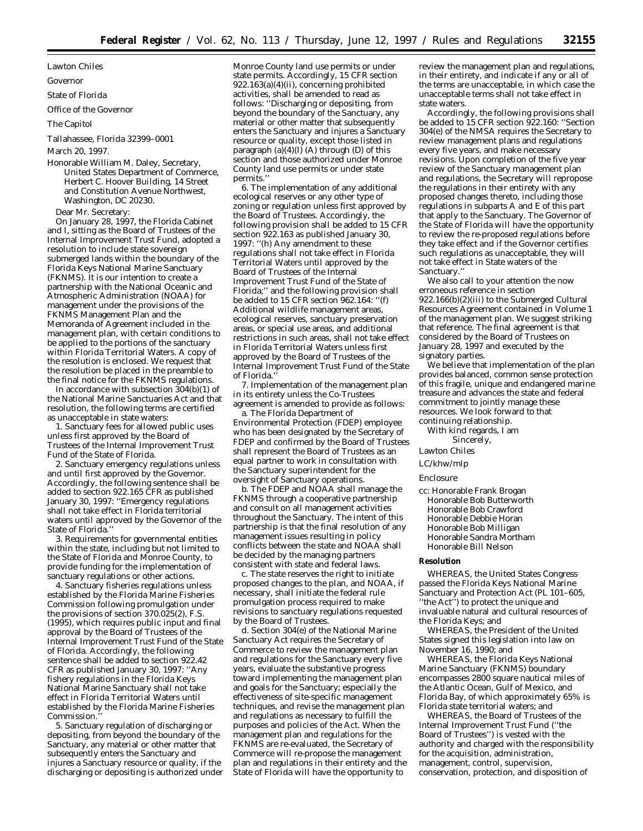Lawton Chiles

#### Governor

State of Florida

Office of the Governor

#### The Capitol

Tallahassee, Florida 32399–0001

March 20, 1997.

Honorable William M. Daley, Secretary, United States Department of Commerce, Herbert C. Hoover Building, 14 Street and Constitution Avenue Northwest, Washington, DC 20230.

Dear Mr. Secretary:

On January 28, 1997, the Florida Cabinet and I, sitting as the Board of Trustees of the Internal Improvement Trust Fund, adopted a resolution to include state sovereign submerged lands within the boundary of the Florida Keys National Marine Sanctuary (FKNMS). It is our intention to create a partnership with the National Oceanic and Atmospheric Administration (NOAA) for management under the provisions of the FKNMS Management Plan and the Memoranda of Agreement included in the management plan, with certain conditions to be applied to the portions of the sanctuary within Florida Territorial Waters. A copy of the resolution is enclosed. We request that the resolution be placed in the preamble to the final notice for the FKNMS regulations.

In accordance with subsection 304(b)(1) of the National Marine Sanctuaries Act and that resolution, the following terms are certified as unacceptable in state waters:

1. Sanctuary fees for allowed public uses unless first approved by the Board of Trustees of the Internal Improvement Trust Fund of the State of Florida.

2. Sanctuary emergency regulations unless and until first approved by the Governor. Accordingly, the following sentence shall be added to section 922.165 CFR as published January 30, 1997: ''Emergency regulations shall not take effect in Florida territorial waters until approved by the Governor of the State of Florida."

3. Requirements for governmental entities within the state, including but not limited to the State of Florida and Monroe County, to provide funding for the implementation of sanctuary regulations or other actions.

4. Sanctuary fisheries regulations unless established by the Florida Marine Fisheries Commission following promulgation under the provisions of section 370.025(2), F.S. (1995), which requires public input and final approval by the Board of Trustees of the Internal Improvement Trust Fund of the State of Florida. Accordingly, the following sentence shall be added to section 922.42 CFR as published January 30, 1997: ''Any fishery regulations in the Florida Keys National Marine Sanctuary shall not take effect in Florida Territorial Waters until established by the Florida Marine Fisheries Commission.

5. Sanctuary regulation of discharging or depositing, from beyond the boundary of the Sanctuary, any material or other matter that subsequently enters the Sanctuary and injures a Sanctuary resource or quality, if the discharging or depositing is authorized under

Monroe County land use permits or under state permits. Accordingly, 15 CFR section 922.163(a)(4)(ii), concerning prohibited activities, shall be amended to read as follows: ''Discharging or depositing, from beyond the boundary of the Sanctuary, any material or other matter that subsequently enters the Sanctuary and injures a Sanctuary resource or quality, except those listed in paragraph  $(a)(4)(I)$  (A) through  $(D)$  of this section and those authorized under Monroe County land use permits or under state permits.'

6. The implementation of any additional ecological reserves or any other type of zoning or regulation unless first approved by the Board of Trustees. Accordingly, the following provision shall be added to 15 CFR section 922.163 as published January 30, 1997: ''(h) Any amendment to these regulations shall not take effect in Florida Territorial Waters until approved by the Board of Trustees of the Internal Improvement Trust Fund of the State of Florida;'' and the following provision shall be added to 15 CFR section 962.164: ''(f) Additional wildlife management areas, ecological reserves, sanctuary preservation areas, or special use areas, and additional restrictions in such areas, shall not take effect in Florida Territorial Waters unless first approved by the Board of Trustees of the Internal Improvement Trust Fund of the State of Florida.''

7. Implementation of the management plan in its entirety unless the Co-Trustees agreement is amended to provide as follows:

a. The Florida Department of Environmental Protection (FDEP) employee who has been designated by the Secretary of FDEP and confirmed by the Board of Trustees shall represent the Board of Trustees as an equal partner to work in consultation with the Sanctuary superintendent for the oversight of Sanctuary operations.

b. The FDEP and NOAA shall manage the FKNMS through a cooperative partnership and consult on all management activities throughout the Sanctuary. The intent of this partnership is that the final resolution of any management issues resulting in policy conflicts between the state and NOAA shall be decided by the managing partners consistent with state and federal laws.

c. The state reserves the right to initiate proposed changes to the plan, and NOAA, if necessary, shall initiate the federal rule promulgation process required to make revisions to sanctuary regulations requested by the Board of Trustees.

d. Section 304(e) of the National Marine Sanctuary Act requires the Secretary of Commerce to review the management plan and regulations for the Sanctuary every five years, evaluate the substantive progress toward implementing the management plan and goals for the Sanctuary; especially the effectiveness of site-specific management techniques, and revise the management plan and regulations as necessary to fulfill the purposes and policies of the Act. When the management plan and regulations for the FKNMS are re-evaluated, the Secretary of Commerce will re-propose the management plan and regulations in their entirety and the State of Florida will have the opportunity to

review the management plan and regulations, in their entirety, and indicate if any or all of the terms are unacceptable, in which case the unacceptable terms shall not take effect in state waters.

Accordingly, the following provisions shall be added to 15 CFR section 922.160: "Section 304(e) of the NMSA requires the Secretary to review management plans and regulations every five years, and make necessary revisions. Upon completion of the five year review of the Sanctuary management plan and regulations, the Secretary will repropose the regulations in their entirety with any proposed changes thereto, including those regulations in subparts A and E of this part that apply to the Sanctuary. The Governor of the State of Florida will have the opportunity to review the re-proposed regulations before they take effect and if the Governor certifies such regulations as unacceptable, they will not take effect in State waters of the Sanctuary.''

We also call to your attention the now erroneous reference in section 922.166(b)(2)(iii) to the Submerged Cultural Resources Agreement contained in Volume 1 of the management plan. We suggest striking that reference. The final agreement is that considered by the Board of Trustees on January 28, 1997 and executed by the signatory parties.

We believe that implementation of the plan provides balanced, common sense protection of this fragile, unique and endangered marine treasure and advances the state and federal commitment to jointly manage these resources. We look forward to that continuing relationship.

With kind regards, I am Sincerely,

Lawton Chiles

### LC/khw/mlp

Enclosure

cc: Honorable Frank Brogan Honorable Bob Butterworth Honorable Bob Crawford Honorable Debbie Horan Honorable Bob Milligan Honorable Sandra Mortham Honorable Bill Nelson

#### **Resolution**

WHEREAS, the United States Congress passed the Florida Keys National Marine Sanctuary and Protection Act (PL 101–605, "the Act") to protect the unique and invaluable natural and cultural resources of the Florida Keys; and

WHEREAS, the President of the United States signed this legislation into law on November 16, 1990; and

WHEREAS, the Florida Keys National Marine Sanctuary (FKNMS) boundary encompasses 2800 square nautical miles of the Atlantic Ocean, Gulf of Mexico, and Florida Bay, of which approximately 65% is Florida state territorial waters; and

WHEREAS, the Board of Trustees of the Internal Improvement Trust Fund (''the Board of Trustees'') is vested with the authority and charged with the responsibility for the acquisition, administration, management, control, supervision, conservation, protection, and disposition of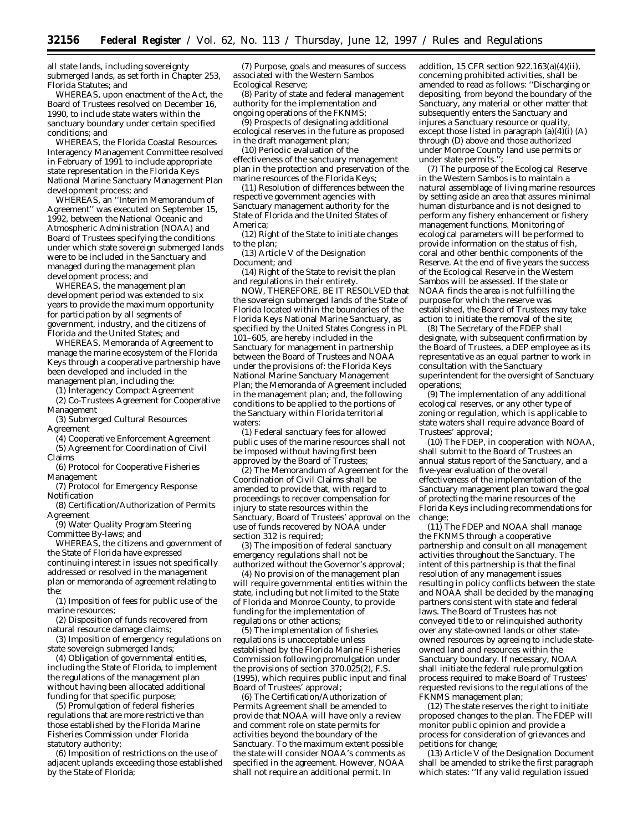all state lands, including sovereignty submerged lands, as set forth in Chapter 253, Florida Statutes; and

WHEREAS, upon enactment of the Act, the Board of Trustees resolved on December 16, 1990, to include state waters within the sanctuary boundary under certain specified conditions; and

WHEREAS, the Florida Coastal Resources Interagency Management Committee resolved in February of 1991 to include appropriate state representation in the Florida Keys National Marine Sanctuary Management Plan development process; and

WHEREAS, an ''Interim Memorandum of Agreement'' was executed on September 15, 1992, between the National Oceanic and Atmospheric Administration (NOAA) and Board of Trustees specifying the conditions under which state sovereign submerged lands were to be included in the Sanctuary and managed during the management plan development process; and

WHEREAS, the management plan development period was extended to six years to provide the maximum opportunity for participation by all segments of government, industry, and the citizens of Florida and the United States; and

WHEREAS, Memoranda of Agreement to manage the marine ecosystem of the Florida Keys through a cooperative partnership have been developed and included in the management plan, including the:

(1) Interagency Compact Agreement (2) Co-Trustees Agreement for Cooperative Management

(3) Submerged Cultural Resources Agreement

(4) Cooperative Enforcement Agreement (5) Agreement for Coordination of Civil Claims

(6) Protocol for Cooperative Fisheries Management

(7) Protocol for Emergency Response Notification

(8) Certification/Authorization of Permits Agreement

(9) Water Quality Program Steering Committee By-laws; and

WHEREAS, the citizens and government of the State of Florida have expressed continuing interest in issues not specifically addressed or resolved in the management plan or memoranda of agreement relating to the:

(1) Imposition of fees for public use of the marine resources;

(2) Disposition of funds recovered from natural resource damage claims;

(3) Imposition of emergency regulations on state sovereign submerged lands;

(4) Obligation of governmental entities, including the State of Florida, to implement the regulations of the management plan without having been allocated additional funding for that specific purpose;

(5) Promulgation of federal fisheries regulations that are more restrictive than those established by the Florida Marine Fisheries Commission under Florida statutory authority;

(6) Imposition of restrictions on the use of adjacent uplands exceeding those established by the State of Florida;

(7) Purpose, goals and measures of success associated with the Western Sambos Ecological Reserve;

(8) Parity of state and federal management authority for the implementation and ongoing operations of the FKNMS;

(9) Prospects of designating additional ecological reserves in the future as proposed in the draft management plan;

(10) Periodic evaluation of the effectiveness of the sanctuary management plan in the protection and preservation of the marine resources of the Florida Keys;

(11) Resolution of differences between the respective government agencies with Sanctuary management authority for the State of Florida and the United States of America;

(12) Right of the State to initiate changes to the plan;

(13) Article V of the Designation Document; and

(14) Right of the State to revisit the plan and regulations in their entirety.

NOW, THEREFORE, BE IT RESOLVED that the sovereign submerged lands of the State of Florida located within the boundaries of the Florida Keys National Marine Sanctuary, as specified by the United States Congress in PL 101–605, are hereby included in the Sanctuary for management in partnership between the Board of Trustees and NOAA under the provisions of: the Florida Keys National Marine Sanctuary Management Plan; the Memoranda of Agreement included in the management plan; and, the following conditions to be applied to the portions of the Sanctuary within Florida territorial waters:

(1) Federal sanctuary fees for allowed public uses of the marine resources shall not be imposed without having first been approved by the Board of Trustees;

(2) The Memorandum of Agreement for the Coordination of Civil Claims shall be amended to provide that, with regard to proceedings to recover compensation for injury to state resources within the Sanctuary, Board of Trustees' approval on the use of funds recovered by NOAA under section 312 is required;

(3) The imposition of federal sanctuary emergency regulations shall not be authorized without the Governor's approval;

(4) No provision of the management plan will require governmental entities within the state, including but not limited to the State of Florida and Monroe County, to provide funding for the implementation of regulations or other actions;

(5) The implementation of fisheries regulations is unacceptable unless established by the Florida Marine Fisheries Commission following promulgation under the provisions of section  $370.025(2)$ , F.S. (1995), which requires public input and final Board of Trustees' approval;

(6) The Certification/Authorization of Permits Agreement shall be amended to provide that NOAA will have only a review and comment role on state permits for activities beyond the boundary of the Sanctuary. To the maximum extent possible the state will consider NOAA's comments as specified in the agreement. However, NOAA shall not require an additional permit. In

addition, 15 CFR section 922.163(a)(4)(ii), concerning prohibited activities, shall be amended to read as follows: ''Discharging or depositing, from beyond the boundary of the Sanctuary, any material or other matter that subsequently enters the Sanctuary and injures a Sanctuary resource or quality. except those listed in paragraph  $(a)(4)(i)$   $(A)$ through (D) above and those authorized under Monroe County land use permits *or under state permits*.'';

(7) The purpose of the Ecological Reserve in the Western Sambos is to maintain a natural assemblage of living marine resources by setting aside an area that assures minimal human disturbance and is not designed to perform any fishery enhancement or fishery management functions. Monitoring of ecological parameters will be performed to provide information on the status of fish, coral and other benthic components of the Reserve. At the end of five years the success of the Ecological Reserve in the Western Sambos will be assessed. If the state or NOAA finds the area is not fulfilling the purpose for which the reserve was established, the Board of Trustees may take action to initiate the removal of the site;

(8) The Secretary of the FDEP shall designate, with subsequent confirmation by the Board of Trustees, a DEP employee as its representative as an equal partner to work in consultation with the Sanctuary superintendent for the oversight of Sanctuary operations;

(9) The implementation of any additional ecological reserves, or any other type of zoning or regulation, which is applicable to state waters shall require advance Board of Trustees' approval;

(10) The FDEP, in cooperation with NOAA, shall submit to the Board of Trustees an annual status report of the Sanctuary, and a five-year evaluation of the overall effectiveness of the implementation of the Sanctuary management plan toward the goal of protecting the marine resources of the Florida Keys including recommendations for change;

(11) The FDEP and NOAA shall manage the FKNMS through a cooperative partnership and consult on all management activities throughout the Sanctuary. The intent of this partnership is that the final resolution of any management issues resulting in policy conflicts between the state and NOAA shall be decided by the managing partners consistent with state and federal laws. The Board of Trustees has not conveyed title to or relinquished authority over any state-owned lands or other stateowned resources by agreeing to include stateowned land and resources within the Sanctuary boundary. If necessary, NOAA shall initiate the federal rule promulgation process required to make Board of Trustees' requested revisions to the regulations of the FKNMS management plan;

(12) The state reserves the right to initiate proposed changes to the plan. The FDEP will monitor public opinion and provide a process for consideration of grievances and petitions for change;

(13) Article V of the Designation Document shall be amended to strike the first paragraph which states: ''If any valid regulation issued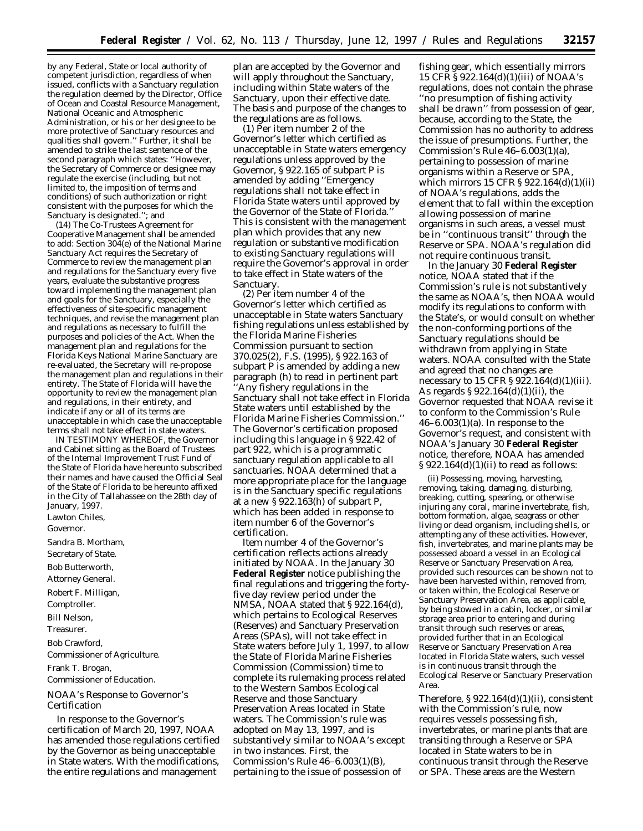by any Federal, State or local authority of competent jurisdiction, regardless of when issued, conflicts with a Sanctuary regulation the regulation deemed by the Director, Office of Ocean and Coastal Resource Management, National Oceanic and Atmospheric Administration, or his or her designee to be more protective of Sanctuary resources and qualities shall govern.'' Further, it shall be amended to strike the last sentence of the second paragraph which states: ''However, the Secretary of Commerce or designee may regulate the exercise (including, but not limited to, the imposition of terms and conditions) of such authorization or right consistent with the purposes for which the Sanctuary is designated.''; and

(14) The Co-Trustees Agreement for Cooperative Management shall be amended to add: Section 304(e) of the National Marine Sanctuary Act requires the Secretary of Commerce to review the management plan and regulations for the Sanctuary every five years, evaluate the substantive progress toward implementing the management plan and goals for the Sanctuary, especially the effectiveness of site-specific management techniques, and revise the management plan and regulations as necessary to fulfill the purposes and policies of the Act. When the management plan and regulations for the Florida Keys National Marine Sanctuary are re-evaluated, the Secretary will re-propose the management plan and regulations in their entirety. The State of Florida will have the opportunity to review the management plan and regulations, in their entirety, and indicate if any or all of its terms are unacceptable in which case the unacceptable terms shall not take effect in state waters.

IN TESTIMONY WHEREOF, the Governor and Cabinet sitting as the Board of Trustees of the Internal Improvement Trust Fund of the State of Florida have hereunto subscribed their names and have caused the Official Seal of the State of Florida to be hereunto affixed in the City of Tallahassee on the 28th day of January, 1997.

Lawton Chiles,

*Governor.*

Sandra B. Mortham, *Secretary of State.* Bob Butterworth, *Attorney General.* Robert F. Milligan, *Comptroller.* Bill Nelson, *Treasurer.* Bob Crawford, *Commissioner of Agriculture.* Frank T. Brogan, *Commissioner of Education.* NOAA's Response to Governor's Certification

In response to the Governor's certification of March 20, 1997, NOAA has amended those regulations certified by the Governor as being unacceptable in State waters. With the modifications, the entire regulations and management

plan are accepted by the Governor and will apply throughout the Sanctuary, including within State waters of the Sanctuary, upon their effective date. The basis and purpose of the changes to the regulations are as follows.

(1) Per item number 2 of the Governor's letter which certified as unacceptable in State waters emergency regulations unless approved by the Governor, § 922.165 of subpart P is amended by adding ''Emergency regulations shall not take effect in Florida State waters until approved by the Governor of the State of Florida.'' This is consistent with the management plan which provides that any new regulation or substantive modification to existing Sanctuary regulations will require the Governor's approval in order to take effect in State waters of the Sanctuary.

(2) Per item number 4 of the Governor's letter which certified as unacceptable in State waters Sanctuary fishing regulations unless established by the Florida Marine Fisheries Commission pursuant to section 370.025(2), F.S. (1995), § 922.163 of subpart P is amended by adding a new paragraph (h) to read in pertinent part 'Any fishery regulations in the Sanctuary shall not take effect in Florida State waters until established by the Florida Marine Fisheries Commission.'' The Governor's certification proposed including this language in § 922.42 of part 922, which is a programmatic sanctuary regulation applicable to all sanctuaries. NOAA determined that a more appropriate place for the language is in the Sanctuary specific regulations at a new  $\S 922.163(h)$  of subpart P, which has been added in response to item number 6 of the Governor's certification.

Item number 4 of the Governor's certification reflects actions already initiated by NOAA. In the January 30 **Federal Register** notice publishing the final regulations and triggering the fortyfive day review period under the NMSA, NOAA stated that § 922.164(d), which pertains to Ecological Reserves (Reserves) and Sanctuary Preservation Areas (SPAs), will not take effect in State waters before July 1, 1997, to allow the State of Florida Marine Fisheries Commission (Commission) time to complete its rulemaking process related to the Western Sambos Ecological Reserve and those Sanctuary Preservation Areas located in State waters. The Commission's rule was adopted on May 13, 1997, and is substantively similar to NOAA's except in two instances. First, the Commission's Rule 46–6.003(1)(B), pertaining to the issue of possession of

fishing gear, which essentially mirrors 15 CFR § 922.164(d)(1)(iii) of NOAA's regulations, does not contain the phrase ''no presumption of fishing activity shall be drawn'' from possession of gear, because, according to the State, the Commission has no authority to address the issue of presumptions. Further, the Commission's Rule  $46-6.003(1)(a)$ , pertaining to possession of marine organisms within a Reserve or SPA, which mirrors 15 CFR § 922.164(d)(1)(ii) of NOAA's regulations, adds the element that to fall within the exception allowing possession of marine organisms in such areas, a vessel must be in ''continuous transit'' through the Reserve or SPA. NOAA's regulation did not require continuous transit.

In the January 30 **Federal Register** notice, NOAA stated that if the Commission's rule is not substantively the same as NOAA's, then NOAA would modify its regulations to conform with the State's, or would consult on whether the non-conforming portions of the Sanctuary regulations should be withdrawn from applying in State waters. NOAA consulted with the State and agreed that no changes are necessary to 15 CFR § 922.164(d)(1)(iii). As regards § 922.164(d)(1)(ii), the Governor requested that NOAA revise it to conform to the Commission's Rule  $46-6.003(1)(a)$ . In response to the Governor's request, and consistent with NOAA's January 30 **Federal Register** notice, therefore, NOAA has amended  $\S 922.164(d)(1)(ii)$  to read as follows:

(ii) Possessing, moving, harvesting, removing, taking, damaging, disturbing, breaking, cutting, spearing, or otherwise injuring any coral, marine invertebrate, fish, bottom formation, algae, seagrass or other living or dead organism, including shells, or attempting any of these activities. However, fish, invertebrates, and marine plants may be possessed aboard a vessel in an Ecological Reserve or Sanctuary Preservation Area, provided such resources can be shown not to have been harvested within, removed from, or taken within, the Ecological Reserve or Sanctuary Preservation Area, as applicable, by being stowed in a cabin, locker, or similar storage area prior to entering and during transit through such reserves or areas, provided further that in an Ecological Reserve or Sanctuary Preservation Area located in Florida State waters, such vessel is in continuous transit through the Ecological Reserve or Sanctuary Preservation Area.

Therefore,  $$922.164(d)(1)(ii)$ , consistent with the Commission's rule, now requires vessels possessing fish, invertebrates, or marine plants that are transiting through a Reserve or SPA located in State waters to be in continuous transit through the Reserve or SPA. These areas are the Western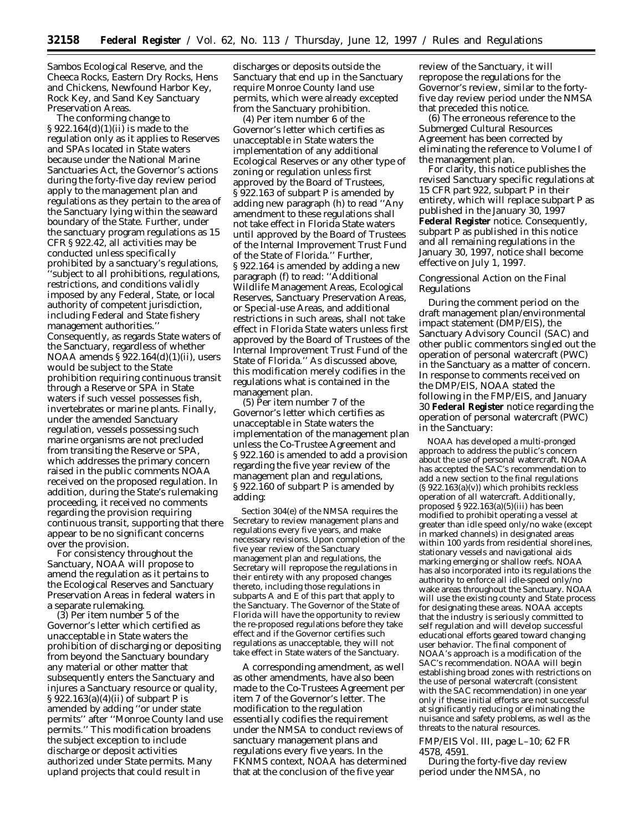Sambos Ecological Reserve, and the Cheeca Rocks, Eastern Dry Rocks, Hens and Chickens, Newfound Harbor Key, Rock Key, and Sand Key Sanctuary Preservation Areas.

The conforming change to § 922.164(d)(1)(ii) is made to the regulation only as it applies to Reserves and SPAs located in State waters because under the National Marine Sanctuaries Act, the Governor's actions during the forty-five day review period apply to the management plan and regulations as they pertain to the area of the Sanctuary lying within the seaward boundary of the State. Further, under the sanctuary program regulations as 15 CFR § 922.42, all activities may be conducted unless specifically prohibited by a sanctuary's regulations, ''subject to all prohibitions, regulations, restrictions, and conditions validly imposed by any Federal, State, or local authority of competent jurisdiction, including Federal and State fishery management authorities.'' Consequently, as regards State waters of the Sanctuary, regardless of whether NOAA amends § 922.164(d)(1)(ii), users would be subject to the State prohibition requiring continuous transit through a Reserve or SPA in State waters if such vessel possesses fish, invertebrates or marine plants. Finally, under the amended Sanctuary regulation, vessels possessing such marine organisms are not precluded from transiting the Reserve or SPA, which addresses the primary concern raised in the public comments NOAA received on the proposed regulation. In addition, during the State's rulemaking proceeding, it received no comments regarding the provision requiring continuous transit, supporting that there appear to be no significant concerns over the provision.

For consistency throughout the Sanctuary, NOAA will propose to amend the regulation as it pertains to the Ecological Reserves and Sanctuary Preservation Areas in federal waters in a separate rulemaking.

(3) Per item number 5 of the Governor's letter which certified as unacceptable in State waters the prohibition of discharging or depositing from beyond the Sanctuary boundary any material or other matter that subsequently enters the Sanctuary and injures a Sanctuary resource or quality, § 922.163(a)(4)(ii) of subpart P is amended by adding ''or under state permits'' after ''Monroe County land use permits.'' This modification broadens the subject exception to include discharge or deposit activities authorized under State permits. Many upland projects that could result in

discharges or deposits outside the Sanctuary that end up in the Sanctuary require Monroe County land use permits, which were already excepted from the Sanctuary prohibition.

(4) Per item number 6 of the Governor's letter which certifies as unacceptable in State waters the implementation of any additional Ecological Reserves or any other type of zoning or regulation unless first approved by the Board of Trustees, § 922.163 of subpart P is amended by adding new paragraph (h) to read ''Any amendment to these regulations shall not take effect in Florida State waters until approved by the Board of Trustees of the Internal Improvement Trust Fund of the State of Florida.'' Further, § 922.164 is amended by adding a new paragraph (f) to read: ''Additional Wildlife Management Areas, Ecological Reserves, Sanctuary Preservation Areas, or Special-use Areas, and additional restrictions in such areas, shall not take effect in Florida State waters unless first approved by the Board of Trustees of the Internal Improvement Trust Fund of the State of Florida.'' As discussed above, this modification merely codifies in the regulations what is contained in the management plan.

(5) Per item number 7 of the Governor's letter which certifies as unacceptable in State waters the implementation of the management plan unless the Co-Trustee Agreement and § 922.160 is amended to add a provision regarding the five year review of the management plan and regulations, § 922.160 of subpart P is amended by adding:

Section 304(e) of the NMSA requires the Secretary to review management plans and regulations every five years, and make necessary revisions. Upon completion of the five year review of the Sanctuary management plan and regulations, the Secretary will repropose the regulations in their entirety with any proposed changes thereto, including those regulations in subparts A and E of this part that apply to the Sanctuary. The Governor of the State of Florida will have the opportunity to review the re-proposed regulations before they take effect and if the Governor certifies such regulations as unacceptable, they will not take effect in State waters of the Sanctuary.

A corresponding amendment, as well as other amendments, have also been made to the Co-Trustees Agreement per item 7 of the Governor's letter. The modification to the regulation essentially codifies the requirement under the NMSA to conduct reviews of sanctuary management plans and regulations every five years. In the FKNMS context, NOAA has determined that at the conclusion of the five year

review of the Sanctuary, it will repropose the regulations for the Governor's review, similar to the fortyfive day review period under the NMSA that preceded this notice.

(6) The erroneous reference to the Submerged Cultural Resources Agreement has been corrected by eliminating the reference to Volume I of the management plan.

For clarity, this notice publishes the revised Sanctuary specific regulations at 15 CFR part 922, subpart P in their entirety, which will replace subpart P as published in the January 30, 1997 **Federal Register** notice. Consequently, subpart P as published in this notice and all remaining regulations in the January 30, 1997, notice shall become effective on July 1, 1997.

#### *Congressional Action on the Final Regulations*

During the comment period on the draft management plan/environmental impact statement (DMP/EIS), the Sanctuary Advisory Council (SAC) and other public commentors singled out the operation of personal watercraft (PWC) in the Sanctuary as a matter of concern. In response to comments received on the DMP/EIS, NOAA stated the following in the FMP/EIS, and January 30 **Federal Register** notice regarding the operation of personal watercraft (PWC) in the Sanctuary:

NOAA has developed a multi-pronged approach to address the public's concern about the use of personal watercraft. NOAA has accepted the SAC's recommendation to add a new section to the final regulations (§ 922.163(a)(v)) which prohibits reckless operation of all watercraft. Additionally, proposed § 922.163(a)(5)(iii) has been modified to prohibit operating a vessel at greater than idle speed only/no wake (except in marked channels) in designated areas within 100 yards from residential shorelines, stationary vessels and navigational aids marking emerging or shallow reefs. NOAA has also incorporated into its regulations the authority to enforce all idle-speed only/no wake areas throughout the Sanctuary. NOAA will use the existing county and State process for designating these areas. NOAA accepts that the industry is seriously committed to self regulation and will develop successful educational efforts geared toward changing user behavior. The final component of NOAA's approach is a modification of the SAC's recommendation. NOAA will begin establishing broad zones with restrictions on the use of personal watercraft (consistent with the SAC recommendation) in one year only if these initial efforts are not successful at significantly reducing or eliminating the nuisance and safety problems, as well as the threats to the natural resources.

FMP/EIS Vol. III, page L–10; 62 FR 4578, 4591.

During the forty-five day review period under the NMSA, no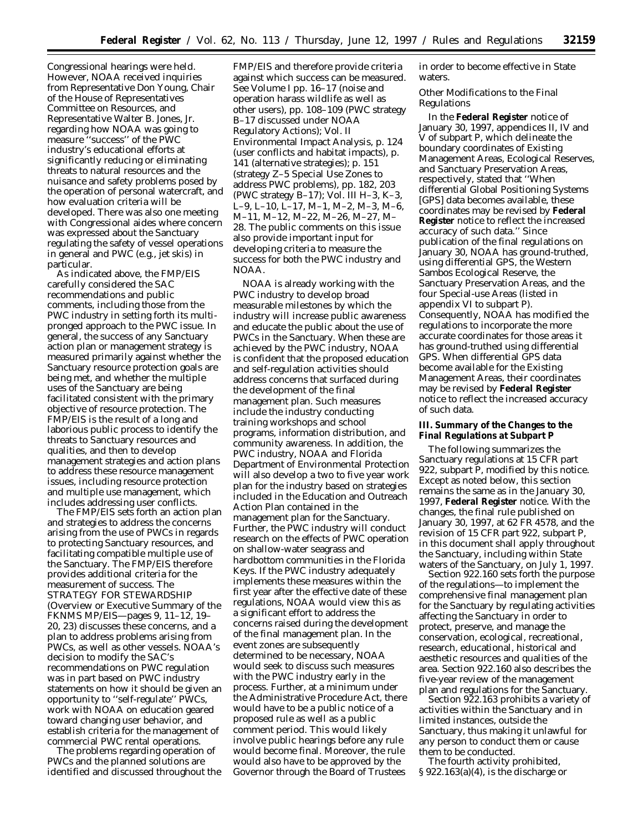Congressional hearings were held. However, NOAA received inquiries from Representative Don Young, Chair of the House of Representatives Committee on Resources, and Representative Walter B. Jones, Jr. regarding how NOAA was going to measure ''success'' of the PWC industry's educational efforts at significantly reducing or eliminating threats to natural resources and the nuisance and safety problems posed by the operation of personal watercraft, and how evaluation criteria will be developed. There was also one meeting with Congressional aides where concern was expressed about the Sanctuary regulating the safety of vessel operations in general and PWC (e.g., jet skis) in particular.

As indicated above, the FMP/EIS carefully considered the SAC recommendations and public comments, including those from the PWC industry in setting forth its multipronged approach to the PWC issue. In general, the success of any Sanctuary action plan or management strategy is measured primarily against whether the Sanctuary resource protection goals are being met, and whether the multiple uses of the Sanctuary are being facilitated consistent with the primary objective of resource protection. The FMP/EIS is the result of a long and laborious public process to identify the threats to Sanctuary resources and qualities, and then to develop management strategies and action plans to address these resource management issues, including resource protection and multiple use management, which includes addressing user conflicts.

The FMP/EIS sets forth an action plan and strategies to address the concerns arising from the use of PWCs in regards to protecting Sanctuary resources, and facilitating compatible multiple use of the Sanctuary. The FMP/EIS therefore provides additional criteria for the measurement of success. The *STRATEGY FOR STEWARDSHIP* (Overview or Executive Summary of the FKNMS MP/EIS—pages 9, 11–12, 19– 20, 23) discusses these concerns, and a plan to address problems arising from PWCs, as well as other vessels. NOAA's decision to modify the SAC's recommendations on PWC regulation was in part based on PWC industry statements on how it should be given an opportunity to ''self-regulate'' PWCs, work with NOAA on education geared toward changing user behavior, and establish criteria for the management of commercial PWC rental operations.

The problems regarding operation of PWCs and the planned solutions are identified and discussed throughout the FMP/EIS and therefore provide criteria against which success can be measured. *See* Volume I pp. 16–17 (noise and operation harass wildlife as well as other users), pp. 108–109 (PWC strategy B–17 discussed under NOAA Regulatory Actions); Vol. II Environmental Impact Analysis, p. 124 (user conflicts and habitat impacts), p. 141 (alternative strategies); p. 151 (strategy Z–5 Special Use Zones to address PWC problems), pp. 182, 203 (PWC strategy B–17); Vol. III H–3, K–3, L–9, L–10, L–17, M–1, M–2, M–3, M–6, M–11, M–12, M–22, M–26, M–27, M– 28. The public comments on this issue also provide important input for developing criteria to measure the success for both the PWC industry and NOAA.

NOAA is already working with the PWC industry to develop broad measurable milestones by which the industry will increase public awareness and educate the public about the use of PWCs in the Sanctuary. When these are achieved by the PWC industry, NOAA is confident that the proposed education and self-regulation activities should address concerns that surfaced during the development of the final management plan. Such measures include the industry conducting training workshops and school programs, information distribution, and community awareness. In addition, the PWC industry, NOAA and Florida Department of Environmental Protection will also develop a two to five year work plan for the industry based on strategies included in the Education and Outreach Action Plan contained in the management plan for the Sanctuary. Further, the PWC industry will conduct research on the effects of PWC operation on shallow-water seagrass and hardbottom communities in the Florida Keys. If the PWC industry adequately implements these measures within the first year after the effective date of these regulations, NOAA would view this as a significant effort to address the concerns raised during the development of the final management plan. In the event zones are subsequently determined to be necessary, NOAA would seek to discuss such measures with the PWC industry early in the process. Further, at a minimum under the Administrative Procedure Act, there would have to be a public notice of a proposed rule as well as a public comment period. This would likely involve public hearings before any rule would become final. Moreover, the rule would also have to be approved by the Governor through the Board of Trustees

in order to become effective in State waters.

## *Other Modifications to the Final Regulations*

In the **Federal Register** notice of January 30, 1997, appendices II, IV and V of subpart P, which delineate the boundary coordinates of Existing Management Areas, Ecological Reserves, and Sanctuary Preservation Areas, respectively, stated that ''When differential Global Positioning Systems [GPS] data becomes available, these coordinates may be revised by **Federal Register** notice to reflect the increased accuracy of such data.'' Since publication of the final regulations on January 30, NOAA has ground-truthed, using differential GPS, the Western Sambos Ecological Reserve, the Sanctuary Preservation Areas, and the four Special-use Areas (listed in appendix VI to subpart P). Consequently, NOAA has modified the regulations to incorporate the more accurate coordinates for those areas it has ground-truthed using differential GPS. When differential GPS data become available for the Existing Management Areas, their coordinates may be revised by **Federal Register** notice to reflect the increased accuracy of such data.

## **III. Summary of the Changes to the Final Regulations at Subpart P**

The following summarizes the Sanctuary regulations at 15 CFR part 922, subpart P, modified by this notice. Except as noted below, this section remains the same as in the January 30, 1997, **Federal Register** notice. With the changes, the final rule published on January 30, 1997, at 62 FR 4578, and the revision of 15 CFR part 922, subpart P, in this document shall apply throughout the Sanctuary, including within State waters of the Sanctuary, on July 1, 1997.

Section 922.160 sets forth the purpose of the regulations—to implement the comprehensive final management plan for the Sanctuary by regulating activities affecting the Sanctuary in order to protect, preserve, and manage the conservation, ecological, recreational, research, educational, historical and aesthetic resources and qualities of the area. Section 922.160 also describes the five-year review of the management plan and regulations for the Sanctuary.

Section 922.163 prohibits a variety of activities within the Sanctuary and in limited instances, outside the Sanctuary, thus making it unlawful for any person to conduct them or cause them to be conducted.

The fourth activity prohibited, § 922.163(a)(4), is the discharge or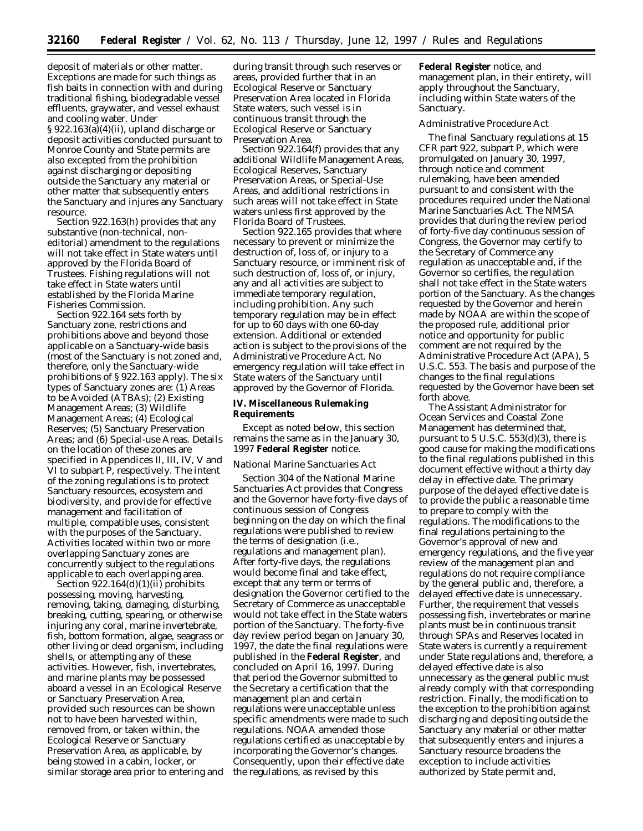deposit of materials or other matter. Exceptions are made for such things as fish baits in connection with and during traditional fishing, biodegradable vessel effluents, graywater, and vessel exhaust and cooling water. Under § 922.163(a)(4)(ii), upland discharge or deposit activities conducted pursuant to Monroe County and State permits are also excepted from the prohibition against discharging or depositing outside the Sanctuary any material or other matter that subsequently enters the Sanctuary and injures any Sanctuary resource.

Section 922.163(h) provides that any substantive (non-technical, noneditorial) amendment to the regulations will not take effect in State waters until approved by the Florida Board of Trustees. Fishing regulations will not take effect in State waters until established by the Florida Marine Fisheries Commission.

Section 922.164 sets forth by Sanctuary zone, restrictions and prohibitions above and beyond those applicable on a Sanctuary-wide basis (most of the Sanctuary is not zoned and, therefore, only the Sanctuary-wide prohibitions of § 922.163 apply). The six types of Sanctuary zones are: (1) Areas to be Avoided (ATBAs); (2) Existing Management Areas; (3) Wildlife Management Areas; (4) Ecological Reserves; (5) Sanctuary Preservation Areas; and (6) Special-use Areas. Details on the location of these zones are specified in Appendices II, III, IV, V and VI to subpart P, respectively. The intent of the zoning regulations is to protect Sanctuary resources, ecosystem and biodiversity, and provide for effective management and facilitation of multiple, compatible uses, consistent with the purposes of the Sanctuary. Activities located within two or more overlapping Sanctuary zones are concurrently subject to the regulations applicable to each overlapping area.

Section  $922.164(d)(1)(ii)$  prohibits possessing, moving, harvesting, removing, taking, damaging, disturbing, breaking, cutting, spearing, or otherwise injuring any coral, marine invertebrate, fish, bottom formation, algae, seagrass or other living or dead organism, including shells, or attempting any of these activities. However, fish, invertebrates, and marine plants may be possessed aboard a vessel in an Ecological Reserve or Sanctuary Preservation Area, provided such resources can be shown not to have been harvested within, removed from, or taken within, the Ecological Reserve or Sanctuary Preservation Area, as applicable, by being stowed in a cabin, locker, or similar storage area prior to entering and

during transit through such reserves or areas, provided further that in an Ecological Reserve or Sanctuary Preservation Area located in Florida State waters, such vessel is in continuous transit through the Ecological Reserve or Sanctuary Preservation Area.

Section 922.164(f) provides that any additional Wildlife Management Areas, Ecological Reserves, Sanctuary Preservation Areas, or Special-Use Areas, and additional restrictions in such areas will not take effect in State waters unless first approved by the Florida Board of Trustees.

Section 922.165 provides that where necessary to prevent or minimize the destruction of, loss of, or injury to a Sanctuary resource, or imminent risk of such destruction of, loss of, or injury, any and all activities are subject to immediate temporary regulation, including prohibition. Any such temporary regulation may be in effect for up to 60 days with one 60-day extension. Additional or extended action is subject to the provisions of the Administrative Procedure Act. No emergency regulation will take effect in State waters of the Sanctuary until approved by the Governor of Florida.

### **IV. Miscellaneous Rulemaking Requirements**

Except as noted below, this section remains the same as in the January 30, 1997 **Federal Register** notice.

#### *National Marine Sanctuaries Act*

Section 304 of the National Marine Sanctuaries Act provides that Congress and the Governor have forty-five days of continuous session of Congress beginning on the day on which the final regulations were published to review the terms of designation (i.e., regulations and management plan). After forty-five days, the regulations would become final and take effect, except that any term or terms of designation the Governor certified to the Secretary of Commerce as unacceptable would not take effect in the State waters portion of the Sanctuary. The forty-five day review period began on January 30, 1997, the date the final regulations were published in the **Federal Register**, and concluded on April 16, 1997. During that period the Governor submitted to the Secretary a certification that the management plan and certain regulations were unacceptable unless specific amendments were made to such regulations. NOAA amended those regulations certified as unacceptable by incorporating the Governor's changes. Consequently, upon their effective date the regulations, as revised by this

**Federal Register** notice, and management plan, in their entirety, will apply throughout the Sanctuary, including within State waters of the Sanctuary.

#### *Administrative Procedure Act*

The final Sanctuary regulations at 15 CFR part 922, subpart P, which were promulgated on January 30, 1997, through notice and comment rulemaking, have been amended pursuant to and consistent with the procedures required under the National Marine Sanctuaries Act. The NMSA provides that during the review period of forty-five day continuous session of Congress, the Governor may certify to the Secretary of Commerce any regulation as unacceptable and, if the Governor so certifies, the regulation shall not take effect in the State waters portion of the Sanctuary. As the changes requested by the Governor and herein made by NOAA are within the scope of the proposed rule, additional prior notice and opportunity for public comment are not required by the Administrative Procedure Act (APA), 5 U.S.C. 553. The basis and purpose of the changes to the final regulations requested by the Governor have been set forth above.

The Assistant Administrator for Ocean Services and Coastal Zone Management has determined that, pursuant to 5 U.S.C. 553(d)(3), there is good cause for making the modifications to the final regulations published in this document effective without a thirty day delay in effective date. The primary purpose of the delayed effective date is to provide the public a reasonable time to prepare to comply with the regulations. The modifications to the final regulations pertaining to the Governor's approval of new and emergency regulations, and the five year review of the management plan and regulations do not require compliance by the general public and, therefore, a delayed effective date is unnecessary. Further, the requirement that vessels possessing fish, invertebrates or marine plants must be in continuous transit through SPAs and Reserves located in State waters is currently a requirement under State regulations and, therefore, a delayed effective date is also unnecessary as the general public must already comply with that corresponding restriction. Finally, the modification to the exception to the prohibition against discharging and depositing outside the Sanctuary any material or other matter that subsequently enters and injures a Sanctuary resource broadens the exception to include activities authorized by State permit and,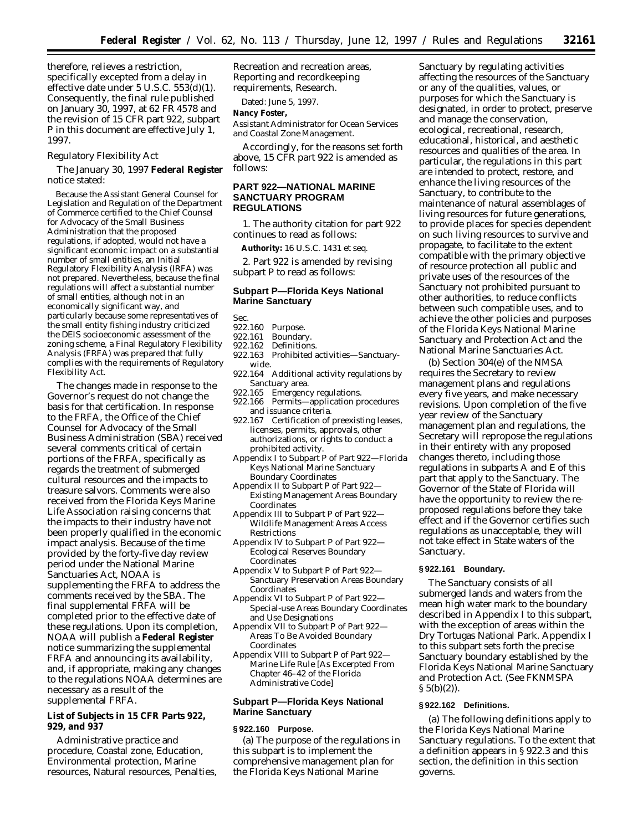therefore, relieves a restriction, specifically excepted from a delay in effective date under 5 U.S.C. 553(d)(1). Consequently, the final rule published on January 30, 1997, at 62 FR 4578 and the revision of 15 CFR part 922, subpart P in this document are effective July 1, 1997.

*Regulatory Flexibility Act*

The January 30, 1997 **Federal Register** notice stated:

Because the Assistant General Counsel for Legislation and Regulation of the Department of Commerce certified to the Chief Counsel for Advocacy of the Small Business Administration that the proposed regulations, if adopted, would not have a significant economic impact on a substantial number of small entities, an Initial Regulatory Flexibility Analysis (IRFA) was not prepared. Nevertheless, because the final regulations will affect a substantial number of small entities, although not in an economically significant way, and particularly because some representatives of the small entity fishing industry criticized the DEIS socioeconomic assessment of the zoning scheme, a Final Regulatory Flexibility Analysis (FRFA) was prepared that fully complies with the requirements of Regulatory Flexibility Act.

The changes made in response to the Governor's request do not change the basis for that certification. In response to the FRFA, the Office of the Chief Counsel for Advocacy of the Small Business Administration (SBA) received several comments critical of certain portions of the FRFA, specifically as regards the treatment of submerged cultural resources and the impacts to treasure salvors. Comments were also received from the Florida Keys Marine Life Association raising concerns that the impacts to their industry have not been properly qualified in the economic impact analysis. Because of the time provided by the forty-five day review period under the National Marine Sanctuaries Act, NOAA is supplementing the FRFA to address the comments received by the SBA. The final supplemental FRFA will be completed prior to the effective date of these regulations. Upon its completion, NOAA will publish a **Federal Register** notice summarizing the supplemental FRFA and announcing its availability, and, if appropriate, making any changes to the regulations NOAA determines are necessary as a result of the supplemental FRFA.

# **List of Subjects in 15 CFR Parts 922, 929, and 937**

Administrative practice and procedure, Coastal zone, Education, Environmental protection, Marine resources, Natural resources, Penalties, Recreation and recreation areas, Reporting and recordkeeping requirements, Research.

Dated: June 5, 1997.

### **Nancy Foster,**

*Assistant Administrator for Ocean Services and Coastal Zone Management.*

Accordingly, for the reasons set forth above, 15 CFR part 922 is amended as follows:

# **PART 922—NATIONAL MARINE SANCTUARY PROGRAM REGULATIONS**

1. The authority citation for part 922 continues to read as follows:

**Authority:** 16 U.S.C. 1431 *et seq.*

2. Part 922 is amended by revising subpart P to read as follows:

## **Subpart P—Florida Keys National Marine Sanctuary**

- Sec.<br>922.160 Purpose.
- 922.161 Boundary.
- Definitions.
- 922.163 Prohibited activities—Sanctuarywide.
- 922.164 Additional activity regulations by Sanctuary area.
- 922.165 Emergency regulations.
- 922.166 Permits—application procedures and issuance criteria.
- 922.167 Certification of preexisting leases, licenses, permits, approvals, other authorizations, or rights to conduct a prohibited activity.
- Appendix I to Subpart P of Part 922—Florida Keys National Marine Sanctuary Boundary Coordinates
- Appendix II to Subpart P of Part 922— Existing Management Areas Boundary Coordinates
- Appendix III to Subpart P of Part 922— Wildlife Management Areas Access Restrictions
- Appendix IV to Subpart P of Part 922— Ecological Reserves Boundary Coordinates
- Appendix V to Subpart P of Part 922— Sanctuary Preservation Areas Boundary Coordinates
- Appendix VI to Subpart P of Part 922— Special-use Areas Boundary Coordinates and Use Designations
- Appendix VII to Subpart P of Part 922— Areas To Be Avoided Boundary Coordinates
- Appendix VIII to Subpart P of Part 922— Marine Life Rule [As Excerpted From Chapter 46–42 of the Florida Administrative Code]

# **Subpart P—Florida Keys National Marine Sanctuary**

# **§ 922.160 Purpose.**

(a) The purpose of the regulations in this subpart is to implement the comprehensive management plan for the Florida Keys National Marine

Sanctuary by regulating activities affecting the resources of the Sanctuary or any of the qualities, values, or purposes for which the Sanctuary is designated, in order to protect, preserve and manage the conservation, ecological, recreational, research, educational, historical, and aesthetic resources and qualities of the area. In particular, the regulations in this part are intended to protect, restore, and enhance the living resources of the Sanctuary, to contribute to the maintenance of natural assemblages of living resources for future generations, to provide places for species dependent on such living resources to survive and propagate, to facilitate to the extent compatible with the primary objective of resource protection all public and private uses of the resources of the Sanctuary not prohibited pursuant to other authorities, to reduce conflicts between such compatible uses, and to achieve the other policies and purposes of the Florida Keys National Marine Sanctuary and Protection Act and the National Marine Sanctuaries Act.

(b) Section 304(e) of the NMSA requires the Secretary to review management plans and regulations every five years, and make necessary revisions. Upon completion of the five year review of the Sanctuary management plan and regulations, the Secretary will repropose the regulations in their entirety with any proposed changes thereto, including those regulations in subparts A and E of this part that apply to the Sanctuary. The Governor of the State of Florida will have the opportunity to review the reproposed regulations before they take effect and if the Governor certifies such regulations as unacceptable, they will not take effect in State waters of the Sanctuary.

## **§ 922.161 Boundary.**

The Sanctuary consists of all submerged lands and waters from the mean high water mark to the boundary described in Appendix I to this subpart, with the exception of areas within the Dry Tortugas National Park. Appendix I to this subpart sets forth the precise Sanctuary boundary established by the Florida Keys National Marine Sanctuary and Protection Act. (See FKNMSPA  $\S 5(b)(2)$ ).

#### **§ 922.162 Definitions.**

(a) The following definitions apply to the Florida Keys National Marine Sanctuary regulations. To the extent that a definition appears in § 922.3 and this section, the definition in this section governs.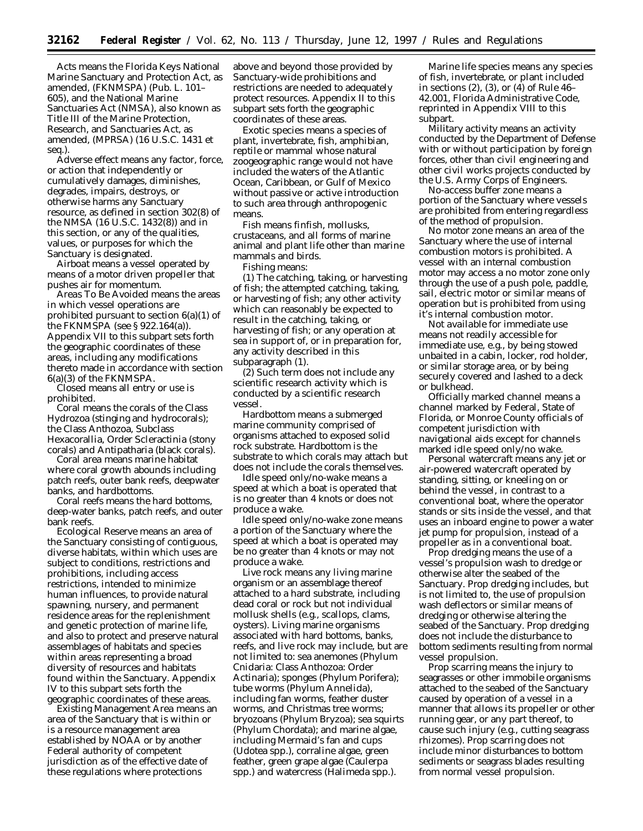*Acts* means the Florida Keys National Marine Sanctuary and Protection Act, as amended, (FKNMSPA) (Pub. L. 101– 605), and the National Marine Sanctuaries Act (NMSA), also known as Title III of the Marine Protection, Research, and Sanctuaries Act, as amended, (MPRSA) (16 U.S.C. 1431 *et seq.*).

*Adverse effect* means any factor, force, or action that independently or cumulatively damages, diminishes, degrades, impairs, destroys, or otherwise harms any Sanctuary resource, as defined in section 302(8) of the NMSA (16 U.S.C. 1432(8)) and in this section, or any of the qualities, values, or purposes for which the Sanctuary is designated.

*Airboat* means a vessel operated by means of a motor driven propeller that pushes air for momentum.

*Areas To Be Avoided* means the areas in which vessel operations are prohibited pursuant to section 6(a)(1) of the FKNMSPA (see § 922.164(a)). Appendix VII to this subpart sets forth the geographic coordinates of these areas, including any modifications thereto made in accordance with section 6(a)(3) of the FKNMSPA.

*Closed* means all entry or use is prohibited.

*Coral* means the corals of the Class Hydrozoa (stinging and hydrocorals); the Class Anthozoa, Subclass Hexacorallia, Order Scleractinia (stony corals) and Antipatharia (black corals).

*Coral area* means marine habitat where coral growth abounds including patch reefs, outer bank reefs, deepwater banks, and hardbottoms.

*Coral reefs* means the hard bottoms, deep-water banks, patch reefs, and outer bank reefs.

*Ecological Reserve* means an area of the Sanctuary consisting of contiguous, diverse habitats, within which uses are subject to conditions, restrictions and prohibitions, including access restrictions, intended to minimize human influences, to provide natural spawning, nursery, and permanent residence areas for the replenishment and genetic protection of marine life, and also to protect and preserve natural assemblages of habitats and species within areas representing a broad diversity of resources and habitats found within the Sanctuary. Appendix IV to this subpart sets forth the geographic coordinates of these areas.

*Existing Management Area* means an area of the Sanctuary that is within or is a resource management area established by NOAA or by another Federal authority of competent jurisdiction as of the effective date of these regulations where protections

above and beyond those provided by Sanctuary-wide prohibitions and restrictions are needed to adequately protect resources. Appendix II to this subpart sets forth the geographic coordinates of these areas.

*Exotic species* means a species of plant, invertebrate, fish, amphibian, reptile or mammal whose natural zoogeographic range would not have included the waters of the Atlantic Ocean, Caribbean, or Gulf of Mexico without passive or active introduction to such area through anthropogenic means.

*Fish* means finfish, mollusks, crustaceans, and all forms of marine animal and plant life other than marine mammals and birds.

*Fishing* means:

(1) The catching, taking, or harvesting of fish; the attempted catching, taking, or harvesting of fish; any other activity which can reasonably be expected to result in the catching, taking, or harvesting of fish; or any operation at sea in support of, or in preparation for, any activity described in this subparagraph (1).

(2) Such term does not include any scientific research activity which is conducted by a scientific research vessel.

*Hardbottom* means a submerged marine community comprised of organisms attached to exposed solid rock substrate. Hardbottom is the substrate to which corals may attach but does not include the corals themselves.

*Idle speed only/no-wake* means a speed at which a boat is operated that is no greater than 4 knots or does not produce a wake.

*Idle speed only/no-wake zone* means a portion of the Sanctuary where the speed at which a boat is operated may be no greater than 4 knots or may not produce a wake.

*Live rock* means any living marine organism or an assemblage thereof attached to a hard substrate, including dead coral or rock but not individual mollusk shells (e.g., scallops, clams, oysters). Living marine organisms associated with hard bottoms, banks, reefs, and live rock may include, but are not limited to: sea anemones (Phylum Cnidaria: Class Anthozoa: Order Actinaria); sponges (Phylum Porifera); tube worms (Phylum Annelida), including fan worms, feather duster worms, and Christmas tree worms; bryozoans (Phylum Bryzoa); sea squirts (Phylum Chordata); and marine algae, including Mermaid's fan and cups (Udotea spp.), corraline algae, green feather, green grape algae (Caulerpa spp.) and watercress (Halimeda spp.).

*Marine life species* means any species of fish, invertebrate, or plant included in sections (2), (3), or (4) of Rule 46– 42.001, Florida Administrative Code, reprinted in Appendix VIII to this subpart.

*Military activity* means an activity conducted by the Department of Defense with or without participation by foreign forces, other than civil engineering and other civil works projects conducted by the U.S. Army Corps of Engineers.

*No-access buffer zone* means a portion of the Sanctuary where vessels are prohibited from entering regardless of the method of propulsion.

*No motor zone* means an area of the Sanctuary where the use of internal combustion motors is prohibited. A vessel with an internal combustion motor may access a no motor zone only through the use of a push pole, paddle, sail, electric motor or similar means of operation but is prohibited from using it's internal combustion motor.

*Not available for immediate use* means not readily accessible for immediate use, e.g., by being stowed unbaited in a cabin, locker, rod holder, or similar storage area, or by being securely covered and lashed to a deck or bulkhead.

*Officially marked channel* means a channel marked by Federal, State of Florida, or Monroe County officials of competent jurisdiction with navigational aids except for channels marked idle speed only/no wake.

*Personal watercraft* means any jet or air-powered watercraft operated by standing, sitting, or kneeling on or behind the vessel, in contrast to a conventional boat, where the operator stands or sits inside the vessel, and that uses an inboard engine to power a water jet pump for propulsion, instead of a propeller as in a conventional boat.

*Prop dredging* means the use of a vessel's propulsion wash to dredge or otherwise alter the seabed of the Sanctuary. Prop dredging includes, but is not limited to, the use of propulsion wash deflectors or similar means of dredging or otherwise altering the seabed of the Sanctuary. Prop dredging does not include the disturbance to bottom sediments resulting from normal vessel propulsion.

*Prop scarring* means the injury to seagrasses or other immobile organisms attached to the seabed of the Sanctuary caused by operation of a vessel in a manner that allows its propeller or other running gear, or any part thereof, to cause such injury (e.g., cutting seagrass rhizomes). Prop scarring does not include minor disturbances to bottom sediments or seagrass blades resulting from normal vessel propulsion.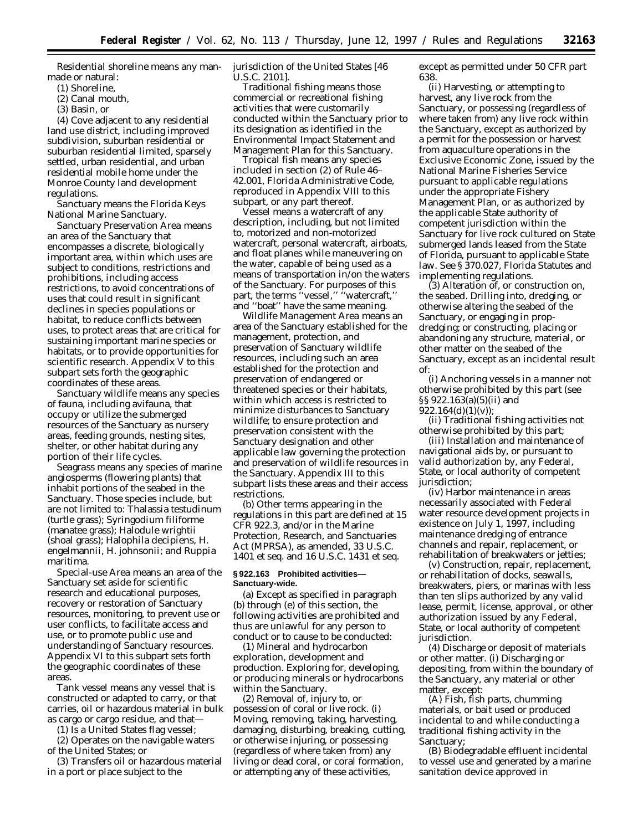*Residential shoreline* means any manmade or natural:

- (1) Shoreline,
- (2) Canal mouth,
- (3) Basin, or

(4) Cove adjacent to any residential land use district, including improved subdivision, suburban residential or suburban residential limited, sparsely settled, urban residential, and urban residential mobile home under the Monroe County land development regulations.

*Sanctuary* means the Florida Keys National Marine Sanctuary.

*Sanctuary Preservation Area* means an area of the Sanctuary that encompasses a discrete, biologically important area, within which uses are subject to conditions, restrictions and prohibitions, including access restrictions, to avoid concentrations of uses that could result in significant declines in species populations or habitat, to reduce conflicts between uses, to protect areas that are critical for sustaining important marine species or habitats, or to provide opportunities for scientific research. Appendix V to this subpart sets forth the geographic coordinates of these areas.

*Sanctuary wildlife* means any species of fauna, including avifauna, that occupy or utilize the submerged resources of the Sanctuary as nursery areas, feeding grounds, nesting sites, shelter, or other habitat during any portion of their life cycles.

*Seagrass* means any species of marine angiosperms (flowering plants) that inhabit portions of the seabed in the Sanctuary. Those species include, but are not limited to: Thalassia testudinum (turtle grass); Syringodium filiforme (manatee grass); Halodule wrightii (shoal grass); Halophila decipiens, H. engelmannii, H. johnsonii; and Ruppia maritima.

*Special-use Area* means an area of the Sanctuary set aside for scientific research and educational purposes, recovery or restoration of Sanctuary resources, monitoring, to prevent use or user conflicts, to facilitate access and use, or to promote public use and understanding of Sanctuary resources. Appendix VI to this subpart sets forth the geographic coordinates of these areas.

*Tank vessel* means any vessel that is constructed or adapted to carry, or that carries, oil or hazardous material in bulk as cargo or cargo residue, and that—

(1) Is a United States flag vessel;

(2) Operates on the navigable waters of the United States; or

(3) Transfers oil or hazardous material in a port or place subject to the

jurisdiction of the United States [46 U.S.C. 2101].

*Traditional fishing* means those commercial or recreational fishing activities that were customarily conducted within the Sanctuary prior to its designation as identified in the Environmental Impact Statement and Management Plan for this Sanctuary.

*Tropical fish* means any species included in section (2) of Rule 46– 42.001, Florida Administrative Code, reproduced in Appendix VIII to this subpart, or any part thereof.

*Vessel* means a watercraft of any description, including, but not limited to, motorized and non-motorized watercraft, personal watercraft, airboats, and float planes while maneuvering on the water, capable of being used as a means of transportation in/on the waters of the Sanctuary. For purposes of this part, the terms "vessel," "watercraft," and ''boat'' have the same meaning.

*Wildlife Management Area* means an area of the Sanctuary established for the management, protection, and preservation of Sanctuary wildlife resources, including such an area established for the protection and preservation of endangered or threatened species or their habitats, within which access is restricted to minimize disturbances to Sanctuary wildlife; to ensure protection and preservation consistent with the Sanctuary designation and other applicable law governing the protection and preservation of wildlife resources in the Sanctuary. Appendix III to this subpart lists these areas and their access restrictions.

(b) Other terms appearing in the regulations in this part are defined at 15 CFR 922.3, and/or in the Marine Protection, Research, and Sanctuaries Act (MPRSA), as amended, 33 U.S.C. 1401 *et seq.* and 16 U.S.C. 1431 *et seq.*

#### **§ 922.163 Prohibited activities— Sanctuary-wide.**

(a) Except as specified in paragraph (b) through (e) of this section, the following activities are prohibited and thus are unlawful for any person to conduct or to cause to be conducted:

(1) *Mineral and hydrocarbon exploration, development and production.* Exploring for, developing, or producing minerals or hydrocarbons within the Sanctuary.

(2) *Removal of, injury to, or possession of coral or live rock.* (i) Moving, removing, taking, harvesting, damaging, disturbing, breaking, cutting, or otherwise injuring, or possessing (regardless of where taken from) any living or dead coral, or coral formation, or attempting any of these activities,

except as permitted under 50 CFR part 638.

(ii) Harvesting, or attempting to harvest, any live rock from the Sanctuary, or possessing (regardless of where taken from) any live rock within the Sanctuary, except as authorized by a permit for the possession or harvest from aquaculture operations in the Exclusive Economic Zone, issued by the National Marine Fisheries Service pursuant to applicable regulations under the appropriate Fishery Management Plan, or as authorized by the applicable State authority of competent jurisdiction within the Sanctuary for live rock cultured on State submerged lands leased from the State of Florida, pursuant to applicable State law. *See* § 370.027, Florida Statutes and implementing regulations.

(3) *Alteration of, or construction on, the seabed.* Drilling into, dredging, or otherwise altering the seabed of the Sanctuary, or engaging in propdredging; or constructing, placing or abandoning any structure, material, or other matter on the seabed of the Sanctuary, except as an incidental result of:

(i) Anchoring vessels in a manner not otherwise prohibited by this part (see §§ 922.163(a)(5)(ii) and 922.164(d)(1)(v));

(ii) Traditional fishing activities not otherwise prohibited by this part;

(iii) Installation and maintenance of navigational aids by, or pursuant to valid authorization by, any Federal, State, or local authority of competent jurisdiction;

(iv) Harbor maintenance in areas necessarily associated with Federal water resource development projects in existence on July 1, 1997, including maintenance dredging of entrance channels and repair, replacement, or rehabilitation of breakwaters or jetties;

(v) Construction, repair, replacement, or rehabilitation of docks, seawalls, breakwaters, piers, or marinas with less than ten slips authorized by any valid lease, permit, license, approval, or other authorization issued by any Federal, State, or local authority of competent jurisdiction.

(4) *Discharge or deposit of materials or other matter.* (i) Discharging or depositing, from within the boundary of the Sanctuary, any material or other matter, except:

(A) Fish, fish parts, chumming materials, or bait used or produced incidental to and while conducting a traditional fishing activity in the Sanctuary;

(B) Biodegradable effluent incidental to vessel use and generated by a marine sanitation device approved in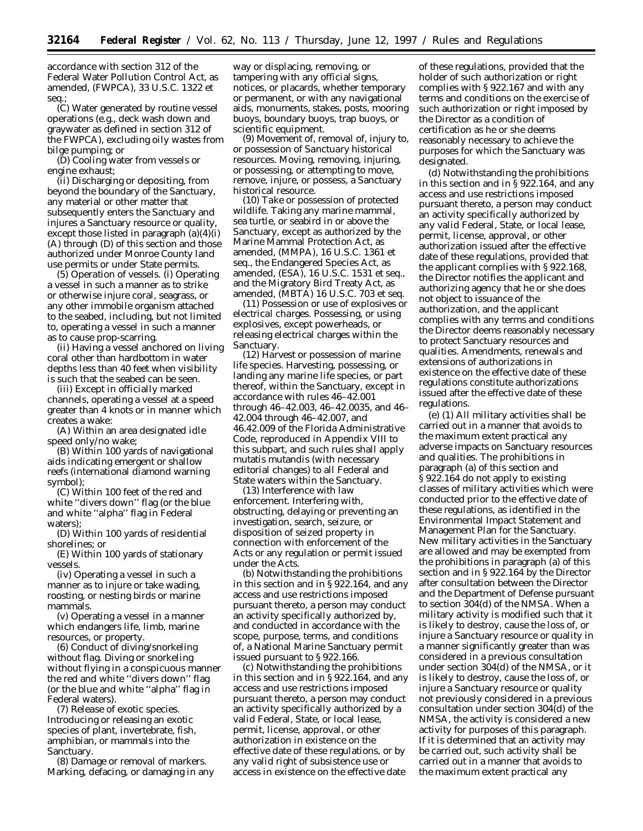accordance with section 312 of the Federal Water Pollution Control Act, as amended, (FWPCA), 33 U.S.C. 1322 *et seq.*;

(C) Water generated by routine vessel operations (e.g., deck wash down and graywater as defined in section 312 of the FWPCA), excluding oily wastes from bilge pumping; or

(D) Cooling water from vessels or engine exhaust;

(ii) Discharging or depositing, from beyond the boundary of the Sanctuary, any material or other matter that subsequently enters the Sanctuary and injures a Sanctuary resource or quality, except those listed in paragraph (a)(4)(i) (A) through (D) of this section and those authorized under Monroe County land use permits or under State permits.

(5) *Operation of vessels.* (i) Operating a vessel in such a manner as to strike or otherwise injure coral, seagrass, or any other immobile organism attached to the seabed, including, but not limited to, operating a vessel in such a manner as to cause prop-scarring.

(ii) Having a vessel anchored on living coral other than hardbottom in water depths less than 40 feet when visibility is such that the seabed can be seen.

(iii) Except in officially marked channels, operating a vessel at a speed greater than 4 knots or in manner which creates a wake:

(A) Within an area designated idle speed only/no wake;

(B) Within 100 yards of navigational aids indicating emergent or shallow reefs (international diamond warning symbol);

(C) Within 100 feet of the red and white ''divers down'' flag (or the blue and white ''alpha'' flag in Federal waters);

(D) Within 100 yards of residential shorelines; or

(E) Within 100 yards of stationary vessels.

(iv) Operating a vessel in such a manner as to injure or take wading, roosting, or nesting birds or marine mammals.

(v) Operating a vessel in a manner which endangers life, limb, marine resources, or property.

(6) *Conduct of diving/snorkeling without flag.* Diving or snorkeling without flying in a conspicuous manner the red and white ''divers down'' flag (or the blue and white ''alpha'' flag in Federal waters).

(7) *Release of exotic species.* Introducing or releasing an exotic species of plant, invertebrate, fish, amphibian, or mammals into the Sanctuary.

(8) *Damage or removal of markers.* Marking, defacing, or damaging in any way or displacing, removing, or tampering with any official signs, notices, or placards, whether temporary or permanent, or with any navigational aids, monuments, stakes, posts, mooring buoys, boundary buoys, trap buoys, or scientific equipment.

(9) *Movement of, removal of, injury to, or possession of Sanctuary historical resources.* Moving, removing, injuring, or possessing, or attempting to move, remove, injure, or possess, a Sanctuary historical resource.

(10) *Take or possession of protected wildlife.* Taking any marine mammal, sea turtle, or seabird in or above the Sanctuary, *except* as authorized by the Marine Mammal Protection Act, as amended, (MMPA), 16 U.S.C. 1361 *et seq.*, the Endangered Species Act, as amended, (ESA), 16 U.S.C. 1531 *et seq.*, and the Migratory Bird Treaty Act, as amended, (MBTA) 16 U.S.C. 703 *et seq.*

(11) *Possession or use of explosives or electrical charges.* Possessing, or using explosives, except powerheads, or releasing electrical charges within the Sanctuary.

(12) *Harvest or possession of marine life species.* Harvesting, possessing, or landing any marine life species, or part thereof, within the Sanctuary, except in accordance with rules 46–42.001 through 46–42.003, 46–42.0035, and 46– 42.004 through 46–42.007, and 46.42.009 of the Florida Administrative Code, reproduced in Appendix VIII to this subpart, and such rules shall apply mutatis mutandis (with necessary editorial changes) to all Federal and State waters within the Sanctuary.

(13) *Interference with law enforcement.* Interfering with, obstructing, delaying or preventing an investigation, search, seizure, or disposition of seized property in connection with enforcement of the Acts or any regulation or permit issued under the Acts.

(b) Notwithstanding the prohibitions in this section and in § 922.164, and any access and use restrictions imposed pursuant thereto, a person may conduct an activity specifically authorized by, and conducted in accordance with the scope, purpose, terms, and conditions of, a National Marine Sanctuary permit issued pursuant to § 922.166.

(c) Notwithstanding the prohibitions in this section and in § 922.164, and any access and use restrictions imposed pursuant thereto, a person may conduct an activity specifically authorized by a valid Federal, State, or local lease, permit, license, approval, or other authorization in existence on the effective date of these regulations, or by any valid right of subsistence use or access in existence on the effective date

of these regulations, provided that the holder of such authorization or right complies with § 922.167 and with any terms and conditions on the exercise of such authorization or right imposed by the Director as a condition of certification as he or she deems reasonably necessary to achieve the purposes for which the Sanctuary was designated.

(d) Notwithstanding the prohibitions in this section and in § 922.164, and any access and use restrictions imposed pursuant thereto, a person may conduct an activity specifically authorized by any valid Federal, State, or local lease, permit, license, approval, or other authorization issued after the effective date of these regulations, provided that the applicant complies with § 922.168, the Director notifies the applicant and authorizing agency that he or she does not object to issuance of the authorization, and the applicant complies with any terms and conditions the Director deems reasonably necessary to protect Sanctuary resources and qualities. Amendments, renewals and extensions of authorizations in existence on the effective date of these regulations constitute authorizations issued after the effective date of these regulations.

(e) (1) All military activities shall be carried out in a manner that avoids to the maximum extent practical any adverse impacts on Sanctuary resources and qualities. The prohibitions in paragraph (a) of this section and § 922.164 do not apply to existing classes of military activities which were conducted prior to the effective date of these regulations, as identified in the Environmental Impact Statement and Management Plan for the Sanctuary. New military activities in the Sanctuary are allowed and may be exempted from the prohibitions in paragraph (a) of this section and in § 922.164 by the Director after consultation between the Director and the Department of Defense pursuant to section 304(d) of the NMSA. When a military activity is modified such that it is likely to destroy, cause the loss of, or injure a Sanctuary resource or quality in a manner significantly greater than was considered in a previous consultation under section 304(d) of the NMSA, or it is likely to destroy, cause the loss of, or injure a Sanctuary resource or quality not previously considered in a previous consultation under section 304(d) of the NMSA, the activity is considered a new activity for purposes of this paragraph. If it is determined that an activity may be carried out, such activity shall be carried out in a manner that avoids to the maximum extent practical any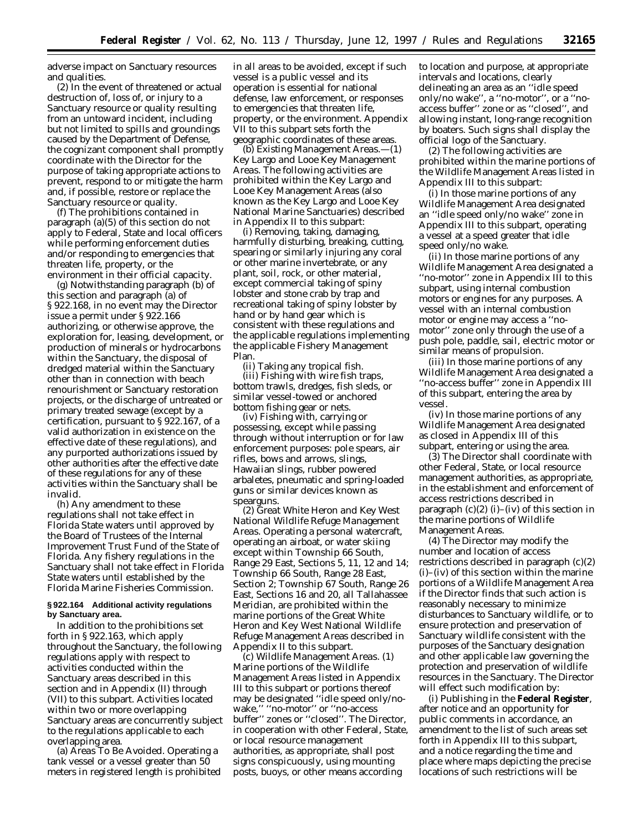adverse impact on Sanctuary resources and qualities.

(2) In the event of threatened or actual destruction of, loss of, or injury to a Sanctuary resource or quality resulting from an untoward incident, including but not limited to spills and groundings caused by the Department of Defense, the cognizant component shall promptly coordinate with the Director for the purpose of taking appropriate actions to prevent, respond to or mitigate the harm and, if possible, restore or replace the Sanctuary resource or quality.

(f) The prohibitions contained in paragraph (a)(5) of this section do not apply to Federal, State and local officers while performing enforcement duties and/or responding to emergencies that threaten life, property, or the environment in their official capacity.

(g) Notwithstanding paragraph (b) of this section and paragraph (a) of § 922.168, in no event may the Director issue a permit under § 922.166 authorizing, or otherwise approve, the exploration for, leasing, development, or production of minerals or hydrocarbons within the Sanctuary, the disposal of dredged material within the Sanctuary other than in connection with beach renourishment or Sanctuary restoration projects, or the discharge of untreated or primary treated sewage (except by a certification, pursuant to § 922.167, of a valid authorization in existence on the effective date of these regulations), and any purported authorizations issued by other authorities after the effective date of these regulations for any of these activities within the Sanctuary shall be invalid.

(h) Any amendment to these regulations shall not take effect in Florida State waters until approved by the Board of Trustees of the Internal Improvement Trust Fund of the State of Florida. Any fishery regulations in the Sanctuary shall not take effect in Florida State waters until established by the Florida Marine Fisheries Commission.

#### **§ 922.164 Additional activity regulations by Sanctuary area.**

In addition to the prohibitions set forth in § 922.163, which apply throughout the Sanctuary, the following regulations apply with respect to activities conducted within the Sanctuary areas described in this section and in Appendix (II) through (VII) to this subpart. Activities located within two or more overlapping Sanctuary areas are concurrently subject to the regulations applicable to each overlapping area.

(a) *Areas To Be Avoided.* Operating a tank vessel or a vessel greater than 50 meters in registered length is prohibited in all areas to be avoided, except if such vessel is a public vessel and its operation is essential for national defense, law enforcement, or responses to emergencies that threaten life, property, or the environment. Appendix VII to this subpart sets forth the geographic coordinates of these areas.

(b) *Existing Management Areas.*—(1) *Key Largo and Looe Key Management Areas.* The following activities are prohibited within the Key Largo and Looe Key Management Areas (also known as the Key Largo and Looe Key National Marine Sanctuaries) described in Appendix II to this subpart:

(i) Removing, taking, damaging, harmfully disturbing, breaking, cutting, spearing or similarly injuring any coral or other marine invertebrate, or any plant, soil, rock, or other material, except commercial taking of spiny lobster and stone crab by trap and recreational taking of spiny lobster by hand or by hand gear which is consistent with these regulations and the applicable regulations implementing the applicable Fishery Management Plan.

(ii) Taking any tropical fish. (iii) Fishing with wire fish traps, bottom trawls, dredges, fish sleds, or similar vessel-towed or anchored bottom fishing gear or nets.

(iv) Fishing with, carrying or possessing, except while passing through without interruption or for law enforcement purposes: pole spears, air rifles, bows and arrows, slings, Hawaiian slings, rubber powered arbaletes, pneumatic and spring-loaded guns or similar devices known as spearguns.

(2) *Great White Heron and Key West National Wildlife Refuge Management Areas.* Operating a personal watercraft, operating an airboat, or water skiing except within Township 66 South, Range 29 East, Sections 5, 11, 12 and 14; Township 66 South, Range 28 East, Section 2; Township 67 South, Range 26 East, Sections 16 and 20, all Tallahassee Meridian, are prohibited within the marine portions of the Great White Heron and Key West National Wildlife Refuge Management Areas described in Appendix II to this subpart.

(c) *Wildlife Management Areas.* (1) Marine portions of the Wildlife Management Areas listed in Appendix III to this subpart or portions thereof may be designated ''idle speed only/nowake,'' ''no-motor'' or ''no-access buffer'' zones or ''closed''. The Director, in cooperation with other Federal, State, or local resource management authorities, as appropriate, shall post signs conspicuously, using mounting posts, buoys, or other means according

to location and purpose, at appropriate intervals and locations, clearly delineating an area as an ''idle speed only/no wake'', a ''no-motor'', or a ''noaccess buffer'' zone or as ''closed'', and allowing instant, long-range recognition by boaters. Such signs shall display the official logo of the Sanctuary.

(2) The following activities are prohibited within the marine portions of the Wildlife Management Areas listed in Appendix III to this subpart:

(i) In those marine portions of any Wildlife Management Area designated an ''idle speed only/no wake'' zone in Appendix III to this subpart, operating a vessel at a speed greater that idle speed only/no wake.

(ii) In those marine portions of any Wildlife Management Area designated a ''no-motor'' zone in Appendix III to this subpart, using internal combustion motors or engines for any purposes. A vessel with an internal combustion motor or engine may access a ''nomotor'' zone only through the use of a push pole, paddle, sail, electric motor or similar means of propulsion.

(iii) In those marine portions of any Wildlife Management Area designated a ''no-access buffer'' zone in Appendix III of this subpart, entering the area by vessel.

(iv) In those marine portions of any Wildlife Management Area designated as closed in Appendix III of this subpart, entering or using the area.

(3) The Director shall coordinate with other Federal, State, or local resource management authorities, as appropriate, in the establishment and enforcement of access restrictions described in paragraph  $(c)(2)$  (i)–(iv) of this section in the marine portions of Wildlife Management Areas.

(4) The Director may modify the number and location of access restrictions described in paragraph (c)(2) (i)–(iv) of this section within the marine portions of a Wildlife Management Area if the Director finds that such action is reasonably necessary to minimize disturbances to Sanctuary wildlife, or to ensure protection and preservation of Sanctuary wildlife consistent with the purposes of the Sanctuary designation and other applicable law governing the protection and preservation of wildlife resources in the Sanctuary. The Director will effect such modification by:

(i) Publishing in the **Federal Register**, after notice and an opportunity for public comments in accordance, an amendment to the list of such areas set forth in Appendix III to this subpart, and a notice regarding the time and place where maps depicting the precise locations of such restrictions will be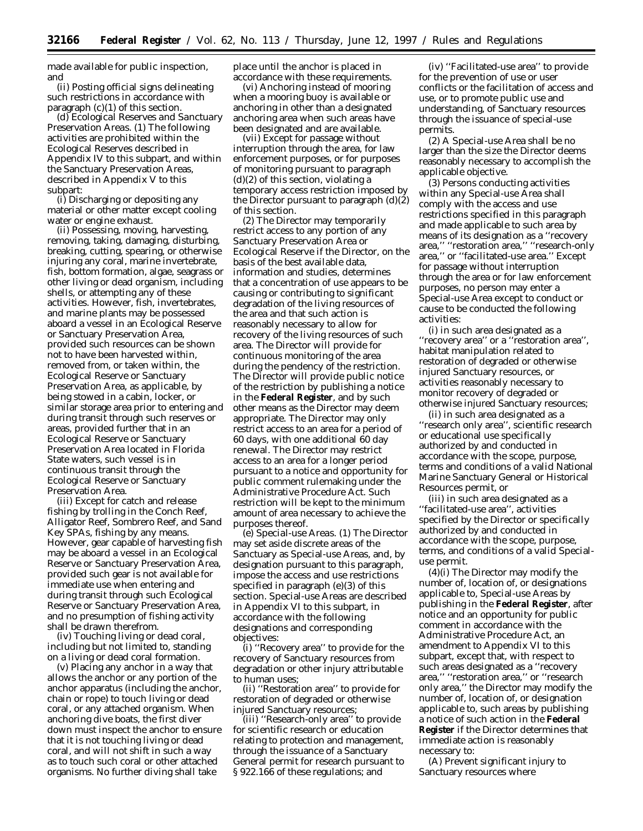made available for public inspection, and

(ii) Posting official signs delineating such restrictions in accordance with paragraph (c)(1) of this section.

(d) *Ecological Reserves and Sanctuary Preservation Areas.* (1) The following activities are prohibited within the Ecological Reserves described in Appendix IV to this subpart, and within the Sanctuary Preservation Areas, described in Appendix V to this subpart:

(i) Discharging or depositing any material or other matter except cooling water or engine exhaust.

(ii) Possessing, moving, harvesting, removing, taking, damaging, disturbing, breaking, cutting, spearing, or otherwise injuring any coral, marine invertebrate, fish, bottom formation, algae, seagrass or other living or dead organism, including shells, or attempting any of these activities. However, fish, invertebrates, and marine plants may be possessed aboard a vessel in an Ecological Reserve or Sanctuary Preservation Area, provided such resources can be shown not to have been harvested within, removed from, or taken within, the Ecological Reserve or Sanctuary Preservation Area, as applicable, by being stowed in a cabin, locker, or similar storage area prior to entering and during transit through such reserves or areas, provided further that in an Ecological Reserve or Sanctuary Preservation Area located in Florida State waters, such vessel is in continuous transit through the Ecological Reserve or Sanctuary Preservation Area.

(iii) Except for catch and release fishing by trolling in the Conch Reef, Alligator Reef, Sombrero Reef, and Sand Key SPAs, fishing by any means. However, gear capable of harvesting fish may be aboard a vessel in an Ecological Reserve or Sanctuary Preservation Area, provided such gear is not available for immediate use when entering and during transit through such Ecological Reserve or Sanctuary Preservation Area, and no presumption of fishing activity shall be drawn therefrom.

(iv) Touching living or dead coral, including but not limited to, standing on a living or dead coral formation.

(v) Placing any anchor in a way that allows the anchor or any portion of the anchor apparatus (including the anchor, chain or rope) to touch living or dead coral, or any attached organism. When anchoring dive boats, the first diver down must inspect the anchor to ensure that it is not touching living or dead coral, and will not shift in such a way as to touch such coral or other attached organisms. No further diving shall take

place until the anchor is placed in accordance with these requirements.

(vi) Anchoring instead of mooring when a mooring buoy is available or anchoring in other than a designated anchoring area when such areas have been designated and are available.

(vii) Except for passage without interruption through the area, for law enforcement purposes, or for purposes of monitoring pursuant to paragraph  $(d)(2)$  of this section, violating a temporary access restriction imposed by the Director pursuant to paragraph (d)(2) of this section.

(2) The Director may temporarily restrict access to any portion of any Sanctuary Preservation Area or Ecological Reserve if the Director, on the basis of the best available data, information and studies, determines that a concentration of use appears to be causing or contributing to significant degradation of the living resources of the area and that such action is reasonably necessary to allow for recovery of the living resources of such area. The Director will provide for continuous monitoring of the area during the pendency of the restriction. The Director will provide public notice of the restriction by publishing a notice in the **Federal Register**, and by such other means as the Director may deem appropriate. The Director may only restrict access to an area for a period of 60 days, with one additional 60 day renewal. The Director may restrict access to an area for a longer period pursuant to a notice and opportunity for public comment rulemaking under the Administrative Procedure Act. Such restriction will be kept to the minimum amount of area necessary to achieve the purposes thereof.

(e) *Special-use Areas.* (1) The Director may set aside discrete areas of the Sanctuary as Special-use Areas, and, by designation pursuant to this paragraph, impose the access and use restrictions specified in paragraph (e)(3) of this section. Special-use Areas are described in Appendix VI to this subpart, in accordance with the following designations and corresponding objectives:

(i) ''Recovery area'' to provide for the recovery of Sanctuary resources from degradation or other injury attributable to human uses;

(ii) ''Restoration area'' to provide for restoration of degraded or otherwise injured Sanctuary resources;

(iii) ''Research-only area'' to provide for scientific research or education relating to protection and management, through the issuance of a Sanctuary General permit for research pursuant to § 922.166 of these regulations; and

(iv) ''Facilitated-use area'' to provide for the prevention of use or user conflicts or the facilitation of access and use, or to promote public use and understanding, of Sanctuary resources through the issuance of special-use permits.

(2) A Special-use Area shall be no larger than the size the Director deems reasonably necessary to accomplish the applicable objective.

(3) Persons conducting activities within any Special-use Area shall comply with the access and use restrictions specified in this paragraph and made applicable to such area by means of its designation as a ''recovery area,'' ''restoration area,'' ''research-only area,'' or ''facilitated-use area.'' Except for passage without interruption through the area or for law enforcement purposes, no person may enter a Special-use Area except to conduct or cause to be conducted the following activities:

(i) in such area designated as a ''recovery area'' or a ''restoration area'', habitat manipulation related to restoration of degraded or otherwise injured Sanctuary resources, or activities reasonably necessary to monitor recovery of degraded or otherwise injured Sanctuary resources;

(ii) in such area designated as a ''research only area'', scientific research or educational use specifically authorized by and conducted in accordance with the scope, purpose, terms and conditions of a valid National Marine Sanctuary General or Historical Resources permit, or

(iii) in such area designated as a ''facilitated-use area'', activities specified by the Director or specifically authorized by and conducted in accordance with the scope, purpose, terms, and conditions of a valid Specialuse permit.

(4)(i) The Director may modify the number of, location of, or designations applicable to, Special-use Areas by publishing in the **Federal Register**, after notice and an opportunity for public comment in accordance with the Administrative Procedure Act, an amendment to Appendix VI to this subpart, except that, with respect to such areas designated as a ''recovery area,'' ''restoration area,'' or ''research only area,'' the Director may modify the number of, location of, or designation applicable to, such areas by publishing a notice of such action in the **Federal Register** if the Director determines that immediate action is reasonably necessary to:

(A) Prevent significant injury to Sanctuary resources where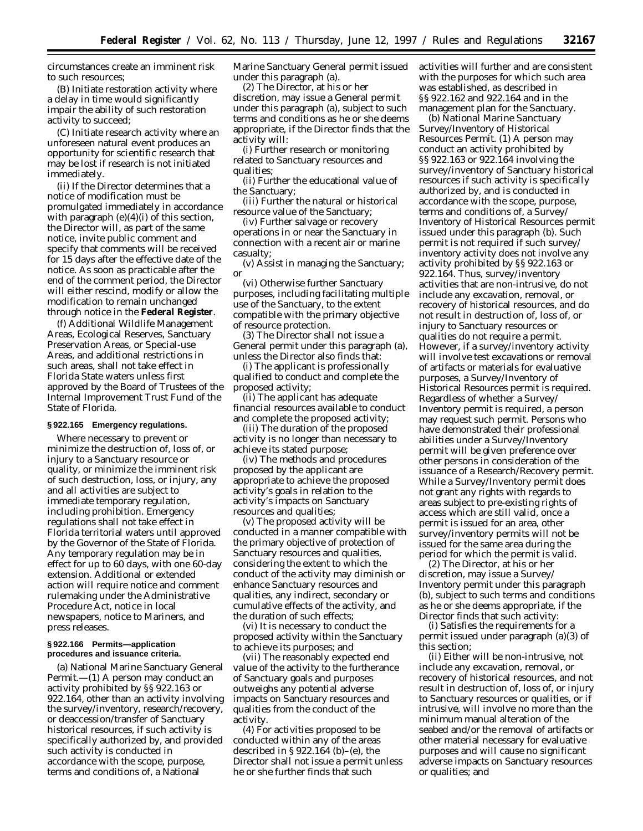circumstances create an imminent risk to such resources;

(B) Initiate restoration activity where a delay in time would significantly impair the ability of such restoration activity to succeed;

(C) Initiate research activity where an unforeseen natural event produces an opportunity for scientific research that may be lost if research is not initiated immediately.

(ii) If the Director determines that a notice of modification must be promulgated immediately in accordance with paragraph  $(e)(4)(i)$  of this section, the Director will, as part of the same notice, invite public comment and specify that comments will be received for 15 days after the effective date of the notice. As soon as practicable after the end of the comment period, the Director will either rescind, modify or allow the modification to remain unchanged through notice in the **Federal Register**.

(f) Additional Wildlife Management Areas, Ecological Reserves, Sanctuary Preservation Areas, or Special-use Areas, and additional restrictions in such areas, shall not take effect in Florida State waters unless first approved by the Board of Trustees of the Internal Improvement Trust Fund of the State of Florida.

#### **§ 922.165 Emergency regulations.**

Where necessary to prevent or minimize the destruction of, loss of, or injury to a Sanctuary resource or quality, or minimize the imminent risk of such destruction, loss, or injury, any and all activities are subject to immediate temporary regulation, including prohibition. Emergency regulations shall not take effect in Florida territorial waters until approved by the Governor of the State of Florida. Any temporary regulation may be in effect for up to 60 days, with one 60-day extension. Additional or extended action will require notice and comment rulemaking under the Administrative Procedure Act, notice in local newspapers, notice to Mariners, and press releases.

#### **§ 922.166 Permits—application procedures and issuance criteria.**

(a) National Marine Sanctuary General Permit.—(1) A person may conduct an activity prohibited by §§ 922.163 or 922.164, other than an activity involving the survey/inventory, research/recovery, or deaccession/transfer of Sanctuary historical resources, if such activity is specifically authorized by, and provided such activity is conducted in accordance with the scope, purpose, terms and conditions of, a National

Marine Sanctuary General permit issued under this paragraph (a).

(2) The Director, at his or her discretion, may issue a General permit under this paragraph (a), subject to such terms and conditions as he or she deems appropriate, if the Director finds that the activity will:

(i) Further research or monitoring related to Sanctuary resources and qualities;

(ii) Further the educational value of the Sanctuary;

(iii) Further the natural or historical resource value of the Sanctuary;

(iv) Further salvage or recovery operations in or near the Sanctuary in connection with a recent air or marine casualty;

(v) Assist in managing the Sanctuary; or

(vi) Otherwise further Sanctuary purposes, including facilitating multiple use of the Sanctuary, to the extent compatible with the primary objective of resource protection.

(3) The Director shall not issue a General permit under this paragraph (a), unless the Director also finds that:

(i) The applicant is professionally qualified to conduct and complete the proposed activity;

(ii) The applicant has adequate financial resources available to conduct and complete the proposed activity;

(iii) The duration of the proposed activity is no longer than necessary to achieve its stated purpose;

(iv) The methods and procedures proposed by the applicant are appropriate to achieve the proposed activity's goals in relation to the activity's impacts on Sanctuary resources and qualities;

(v) The proposed activity will be conducted in a manner compatible with the primary objective of protection of Sanctuary resources and qualities, considering the extent to which the conduct of the activity may diminish or enhance Sanctuary resources and qualities, any indirect, secondary or cumulative effects of the activity, and the duration of such effects;

(vi) It is necessary to conduct the proposed activity within the Sanctuary to achieve its purposes; and

(vii) The reasonably expected end value of the activity to the furtherance of Sanctuary goals and purposes outweighs any potential adverse impacts on Sanctuary resources and qualities from the conduct of the activity.

(4) For activities proposed to be conducted within any of the areas described in § 922.164 (b)–(e), the Director shall not issue a permit unless he or she further finds that such

activities will further and are consistent with the purposes for which such area was established, as described in §§ 922.162 and 922.164 and in the management plan for the Sanctuary.

(b) *National Marine Sanctuary Survey/Inventory of Historical Resources Permit.* (1) A person may conduct an activity prohibited by §§ 922.163 or 922.164 involving the survey/inventory of Sanctuary historical resources if such activity is specifically authorized by, and is conducted in accordance with the scope, purpose, terms and conditions of, a Survey/ Inventory of Historical Resources permit issued under this paragraph (b). Such permit is not required if such survey/ inventory activity does not involve any activity prohibited by §§ 922.163 or 922.164. Thus, survey/inventory activities that are non-intrusive, do not include any excavation, removal, or recovery of historical resources, and do not result in destruction of, loss of, or injury to Sanctuary resources or qualities do not require a permit. However, if a survey/inventory activity will involve test excavations or removal of artifacts or materials for evaluative purposes, a Survey/Inventory of Historical Resources permit is required. Regardless of whether a Survey/ Inventory permit is required, a person may request such permit. Persons who have demonstrated their professional abilities under a Survey/Inventory permit will be given preference over other persons in consideration of the issuance of a Research/Recovery permit. While a Survey/Inventory permit does not grant any rights with regards to areas subject to pre-existing rights of access which are still valid, once a permit is issued for an area, other survey/inventory permits will not be issued for the same area during the period for which the permit is valid.

(2) The Director, at his or her discretion, may issue a Survey/ Inventory permit under this paragraph (b), subject to such terms and conditions as he or she deems appropriate, if the Director finds that such activity:

(i) Satisfies the requirements for a permit issued under paragraph (a)(3) of this section;

(ii) Either will be non-intrusive, not include any excavation, removal, or recovery of historical resources, and not result in destruction of, loss of, or injury to Sanctuary resources or qualities, or if intrusive, will involve no more than the minimum manual alteration of the seabed and/or the removal of artifacts or other material necessary for evaluative purposes and will cause no significant adverse impacts on Sanctuary resources or qualities; and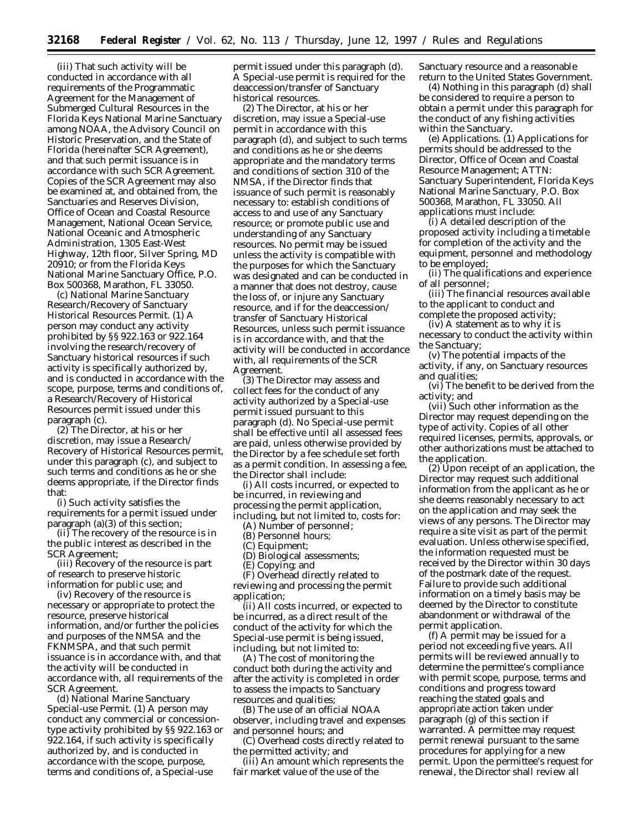(iii) That such activity will be conducted in accordance with all requirements of the Programmatic Agreement for the Management of Submerged Cultural Resources in the Florida Keys National Marine Sanctuary among NOAA, the Advisory Council on Historic Preservation, and the State of Florida (hereinafter SCR Agreement), and that such permit issuance is in accordance with such SCR Agreement. Copies of the SCR Agreement may also be examined at, and obtained from, the Sanctuaries and Reserves Division, Office of Ocean and Coastal Resource Management, National Ocean Service, National Oceanic and Atmospheric Administration, 1305 East-West Highway, 12th floor, Silver Spring, MD 20910; or from the Florida Keys National Marine Sanctuary Office, P.O. Box 500368, Marathon, FL 33050.

(c) *National Marine Sanctuary Research/Recovery of Sanctuary Historical Resources Permit.* (1) A person may conduct any activity prohibited by §§ 922.163 or 922.164 involving the research/recovery of Sanctuary historical resources if such activity is specifically authorized by, and is conducted in accordance with the scope, purpose, terms and conditions of, a Research/Recovery of Historical Resources permit issued under this paragraph (c).

(2) The Director, at his or her discretion, may issue a Research/ Recovery of Historical Resources permit, under this paragraph (c), and subject to such terms and conditions as he or she deems appropriate, if the Director finds that:

(i) Such activity satisfies the requirements for a permit issued under paragraph (a)(3) of this section;

(ii) The recovery of the resource is in the public interest as described in the SCR Agreement;

(iii) Recovery of the resource is part of research to preserve historic information for public use; and

(iv) Recovery of the resource is necessary or appropriate to protect the resource, preserve historical information, and/or further the policies and purposes of the NMSA and the FKNMSPA, and that such permit issuance is in accordance with, and that the activity will be conducted in accordance with, all requirements of the SCR Agreement.

(d) *National Marine Sanctuary Special-use Permit.* (1) A person may conduct any commercial or concessiontype activity prohibited by §§ 922.163 or 922.164, if such activity is specifically authorized by, and is conducted in accordance with the scope, purpose, terms and conditions of, a Special-use

permit issued under this paragraph (d). A Special-use permit is required for the deaccession/transfer of Sanctuary historical resources.

(2) The Director, at his or her discretion, may issue a Special-use permit in accordance with this paragraph (d), and subject to such terms and conditions as he or she deems appropriate and the mandatory terms and conditions of section 310 of the NMSA, if the Director finds that issuance of such permit is reasonably necessary to: establish conditions of access to and use of any Sanctuary resource; or promote public use and understanding of any Sanctuary resources. No permit may be issued unless the activity is compatible with the purposes for which the Sanctuary was designated and can be conducted in a manner that does not destroy, cause the loss of, or injure any Sanctuary resource, and if for the deaccession/ transfer of Sanctuary Historical Resources, unless such permit issuance is in accordance with, and that the activity will be conducted in accordance with, all requirements of the SCR Agreement.

(3) The Director may assess and collect fees for the conduct of any activity authorized by a Special-use permit issued pursuant to this paragraph (d). No Special-use permit shall be effective until all assessed fees are paid, unless otherwise provided by the Director by a fee schedule set forth as a permit condition. In assessing a fee, the Director shall include:

(i) All costs incurred, or expected to be incurred, in reviewing and processing the permit application, including, but not limited to, costs for:

(A) Number of personnel;

(B) Personnel hours;

(C) Equipment;

(D) Biological assessments;

(E) Copying; and

(F) Overhead directly related to reviewing and processing the permit application;

(ii) All costs incurred, or expected to be incurred, as a direct result of the conduct of the activity for which the Special-use permit is being issued, including, but not limited to:

(A) The cost of monitoring the conduct both during the activity and after the activity is completed in order to assess the impacts to Sanctuary resources and qualities;

(B) The use of an official NOAA observer, including travel and expenses and personnel hours; and

(C) Overhead costs directly related to the permitted activity; and

(iii) An amount which represents the fair market value of the use of the

Sanctuary resource and a reasonable return to the United States Government.

(4) Nothing in this paragraph (d) shall be considered to require a person to obtain a permit under this paragraph for the conduct of any fishing activities within the Sanctuary.

(e) *Applications.* (1) Applications for permits should be addressed to the Director, Office of Ocean and Coastal Resource Management; ATTN: Sanctuary Superintendent, Florida Keys National Marine Sanctuary, P.O. Box 500368, Marathon, FL 33050. All applications must include:

(i) A detailed description of the proposed activity including a timetable for completion of the activity and the equipment, personnel and methodology to be employed;

(ii) The qualifications and experience of all personnel;

(iii) The financial resources available to the applicant to conduct and complete the proposed activity;

(iv) A statement as to why it is necessary to conduct the activity within the Sanctuary;

(v) The potential impacts of the activity, if any, on Sanctuary resources and qualities;

(vi) The benefit to be derived from the activity; and

(vii) Such other information as the Director may request depending on the type of activity. Copies of all other required licenses, permits, approvals, or other authorizations must be attached to the application.

(2) Upon receipt of an application, the Director may request such additional information from the applicant as he or she deems reasonably necessary to act on the application and may seek the views of any persons. The Director may require a site visit as part of the permit evaluation. Unless otherwise specified, the information requested must be received by the Director within 30 days of the postmark date of the request. Failure to provide such additional information on a timely basis may be deemed by the Director to constitute abandonment or withdrawal of the permit application.

(f) A permit may be issued for a period not exceeding five years. All permits will be reviewed annually to determine the permittee's compliance with permit scope, purpose, terms and conditions and progress toward reaching the stated goals and appropriate action taken under paragraph (g) of this section if warranted. A permittee may request permit renewal pursuant to the same procedures for applying for a new permit. Upon the permittee's request for renewal, the Director shall review all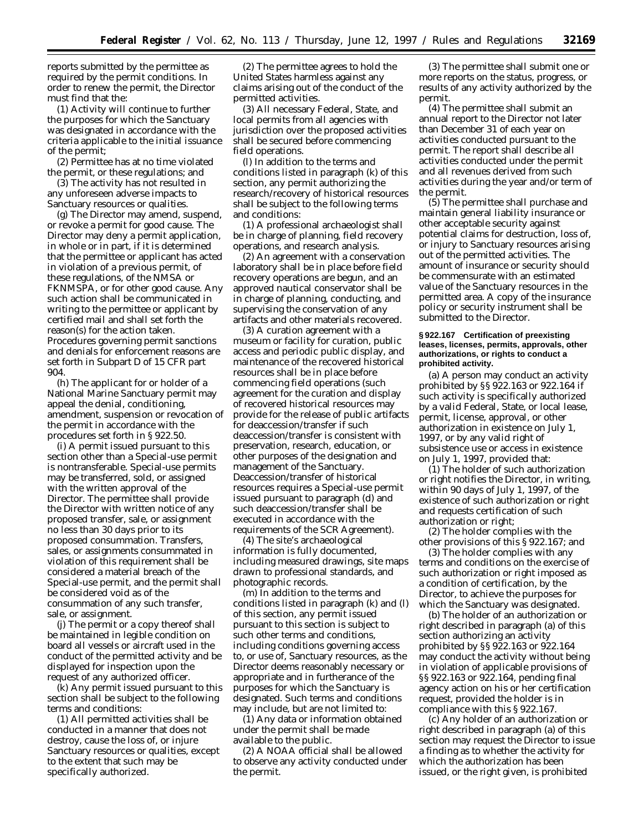reports submitted by the permittee as required by the permit conditions. In order to renew the permit, the Director must find that the:

(1) Activity will continue to further the purposes for which the Sanctuary was designated in accordance with the criteria applicable to the initial issuance of the permit;

(2) Permittee has at no time violated the permit, or these regulations; and

(3) The activity has not resulted in any unforeseen adverse impacts to Sanctuary resources or qualities.

(g) The Director may amend, suspend, or revoke a permit for good cause. The Director may deny a permit application, in whole or in part, if it is determined that the permittee or applicant has acted in violation of a previous permit, of these regulations, of the NMSA or FKNMSPA, or for other good cause. Any such action shall be communicated in writing to the permittee or applicant by certified mail and shall set forth the reason(s) for the action taken. Procedures governing permit sanctions and denials for enforcement reasons are set forth in Subpart D of 15 CFR part 904.

(h) The applicant for or holder of a National Marine Sanctuary permit may appeal the denial, conditioning, amendment, suspension or revocation of the permit in accordance with the procedures set forth in § 922.50.

(i) A permit issued pursuant to this section other than a Special-use permit is nontransferable. Special-use permits may be transferred, sold, or assigned with the written approval of the Director. The permittee shall provide the Director with written notice of any proposed transfer, sale, or assignment no less than 30 days prior to its proposed consummation. Transfers, sales, or assignments consummated in violation of this requirement shall be considered a material breach of the Special-use permit, and the permit shall be considered void as of the consummation of any such transfer, sale, or assignment.

(j) The permit or a copy thereof shall be maintained in legible condition on board all vessels or aircraft used in the conduct of the permitted activity and be displayed for inspection upon the request of any authorized officer.

(k) Any permit issued pursuant to this section shall be subject to the following terms and conditions:

(1) All permitted activities shall be conducted in a manner that does not destroy, cause the loss of, or injure Sanctuary resources or qualities, except to the extent that such may be specifically authorized.

(2) The permittee agrees to hold the United States harmless against any claims arising out of the conduct of the permitted activities.

(3) All necessary Federal, State, and local permits from all agencies with jurisdiction over the proposed activities shall be secured before commencing field operations.

(l) In addition to the terms and conditions listed in paragraph (k) of this section, any permit authorizing the research/recovery of historical resources shall be subject to the following terms and conditions:

(1) A professional archaeologist shall be in charge of planning, field recovery operations, and research analysis.

(2) An agreement with a conservation laboratory shall be in place before field recovery operations are begun, and an approved nautical conservator shall be in charge of planning, conducting, and supervising the conservation of any artifacts and other materials recovered.

(3) A curation agreement with a museum or facility for curation, public access and periodic public display, and maintenance of the recovered historical resources shall be in place before commencing field operations (such agreement for the curation and display of recovered historical resources may provide for the release of public artifacts for deaccession/transfer if such deaccession/transfer is consistent with preservation, research, education, or other purposes of the designation and management of the Sanctuary. Deaccession/transfer of historical resources requires a Special-use permit issued pursuant to paragraph (d) and such deaccession/transfer shall be executed in accordance with the requirements of the SCR Agreement).

(4) The site's archaeological information is fully documented, including measured drawings, site maps drawn to professional standards, and photographic records.

(m) In addition to the terms and conditions listed in paragraph (k) and (l) of this section, any permit issued pursuant to this section is subject to such other terms and conditions, including conditions governing access to, or use of, Sanctuary resources, as the Director deems reasonably necessary or appropriate and in furtherance of the purposes for which the Sanctuary is designated. Such terms and conditions may include, but are not limited to:

(1) Any data or information obtained under the permit shall be made available to the public.

(2) A NOAA official shall be allowed to observe any activity conducted under the permit.

(3) The permittee shall submit one or more reports on the status, progress, or results of any activity authorized by the permit.

(4) The permittee shall submit an annual report to the Director not later than December 31 of each year on activities conducted pursuant to the permit. The report shall describe all activities conducted under the permit and all revenues derived from such activities during the year and/or term of the permit.

(5) The permittee shall purchase and maintain general liability insurance or other acceptable security against potential claims for destruction, loss of, or injury to Sanctuary resources arising out of the permitted activities. The amount of insurance or security should be commensurate with an estimated value of the Sanctuary resources in the permitted area. A copy of the insurance policy or security instrument shall be submitted to the Director.

#### **§ 922.167 Certification of preexisting leases, licenses, permits, approvals, other authorizations, or rights to conduct a prohibited activity.**

(a) A person may conduct an activity prohibited by §§ 922.163 or 922.164 if such activity is specifically authorized by a valid Federal, State, or local lease, permit, license, approval, or other authorization in existence on July 1, 1997, or by any valid right of subsistence use or access in existence on July 1, 1997, provided that:

(1) The holder of such authorization or right notifies the Director, in writing, within 90 days of July 1, 1997, of the existence of such authorization or right and requests certification of such authorization or right;

(2) The holder complies with the other provisions of this § 922.167; and

(3) The holder complies with any terms and conditions on the exercise of such authorization or right imposed as a condition of certification, by the Director, to achieve the purposes for which the Sanctuary was designated.

(b) The holder of an authorization or right described in paragraph (a) of this section authorizing an activity prohibited by §§ 922.163 or 922.164 may conduct the activity without being in violation of applicable provisions of §§ 922.163 or 922.164, pending final agency action on his or her certification request, provided the holder is in compliance with this § 922.167.

(c) Any holder of an authorization or right described in paragraph (a) of this section may request the Director to issue a finding as to whether the activity for which the authorization has been issued, or the right given, is prohibited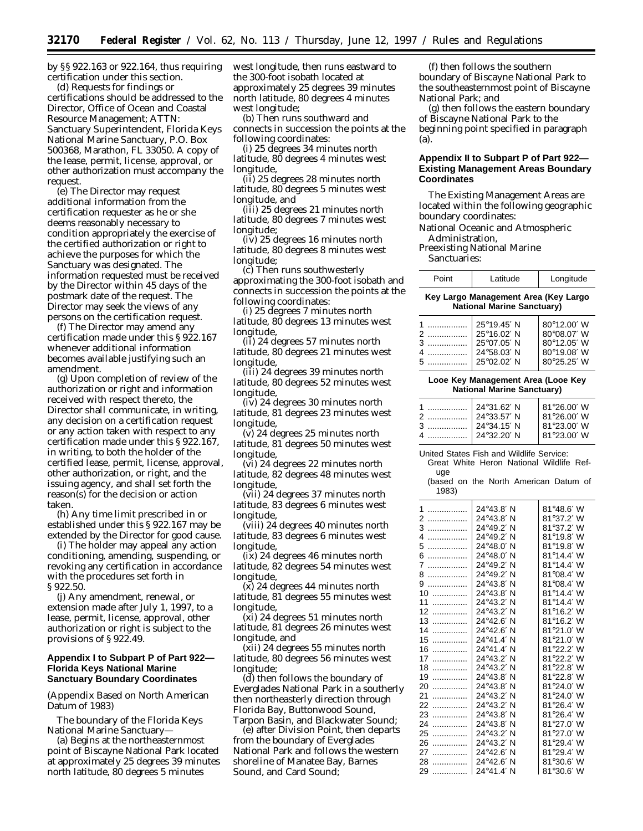by §§ 922.163 or 922.164, thus requiring certification under this section.

(d) Requests for findings or certifications should be addressed to the Director, Office of Ocean and Coastal Resource Management; ATTN: Sanctuary Superintendent, Florida Keys National Marine Sanctuary, P.O. Box 500368, Marathon, FL 33050. A copy of the lease, permit, license, approval, or other authorization must accompany the request.

(e) The Director may request additional information from the certification requester as he or she deems reasonably necessary to condition appropriately the exercise of the certified authorization or right to achieve the purposes for which the Sanctuary was designated. The information requested must be received by the Director within 45 days of the postmark date of the request. The Director may seek the views of any persons on the certification request.

(f) The Director may amend any certification made under this § 922.167 whenever additional information becomes available justifying such an amendment.

(g) Upon completion of review of the authorization or right and information received with respect thereto, the Director shall communicate, in writing, any decision on a certification request or any action taken with respect to any certification made under this § 922.167, in writing, to both the holder of the certified lease, permit, license, approval, other authorization, or right, and the issuing agency, and shall set forth the reason(s) for the decision or action taken.

(h) Any time limit prescribed in or established under this § 922.167 may be extended by the Director for good cause.

(i) The holder may appeal any action conditioning, amending, suspending, or revoking any certification in accordance with the procedures set forth in § 922.50.

(j) Any amendment, renewal, or extension made after July 1, 1997, to a lease, permit, license, approval, other authorization or right is subject to the provisions of § 922.49.

## **Appendix I to Subpart P of Part 922— Florida Keys National Marine Sanctuary Boundary Coordinates**

(Appendix Based on North American Datum of 1983)

The boundary of the Florida Keys National Marine Sanctuary—

(a) Begins at the northeasternmost point of Biscayne National Park located at approximately 25 degrees 39 minutes north latitude, 80 degrees 5 minutes

west longitude, then runs eastward to the 300-foot isobath located at approximately 25 degrees 39 minutes north latitude, 80 degrees 4 minutes west longitude;

(b) Then runs southward and connects in succession the points at the following coordinates:

(i) 25 degrees 34 minutes north latitude, 80 degrees 4 minutes west longitude,

(ii) 25 degrees 28 minutes north latitude, 80 degrees 5 minutes west longitude, and

(iii) 25 degrees 21 minutes north latitude, 80 degrees 7 minutes west longitude;

(iv) 25 degrees 16 minutes north latitude, 80 degrees 8 minutes west longitude;

(c) Then runs southwesterly approximating the 300-foot isobath and connects in succession the points at the following coordinates:

(i) 25 degrees 7 minutes north latitude, 80 degrees 13 minutes west longitude,

(ii) 24 degrees 57 minutes north latitude, 80 degrees 21 minutes west longitude,

(iii) 24 degrees 39 minutes north latitude, 80 degrees 52 minutes west longitude,

(iv) 24 degrees 30 minutes north latitude, 81 degrees 23 minutes west longitude,

(v) 24 degrees 25 minutes north latitude, 81 degrees 50 minutes west longitude,

(vi) 24 degrees 22 minutes north latitude, 82 degrees 48 minutes west longitude,

(vii) 24 degrees 37 minutes north latitude, 83 degrees 6 minutes west longitude,

(viii) 24 degrees 40 minutes north latitude, 83 degrees 6 minutes west longitude,

(ix) 24 degrees 46 minutes north latitude, 82 degrees 54 minutes west longitude,

(x) 24 degrees 44 minutes north latitude, 81 degrees 55 minutes west longitude,

(xi) 24 degrees 51 minutes north latitude, 81 degrees 26 minutes west longitude, and

(xii) 24 degrees 55 minutes north latitude, 80 degrees 56 minutes west longitude;

(d) then follows the boundary of Everglades National Park in a southerly then northeasterly direction through Florida Bay, Buttonwood Sound, Tarpon Basin, and Blackwater Sound;

(e) after Division Point, then departs from the boundary of Everglades National Park and follows the western shoreline of Manatee Bay, Barnes Sound, and Card Sound;

(f) then follows the southern boundary of Biscayne National Park to the southeasternmost point of Biscayne National Park; and

(g) then follows the eastern boundary of Biscayne National Park to the beginning point specified in paragraph (a).

# **Appendix II to Subpart P of Part 922— Existing Management Areas Boundary Coordinates**

The Existing Management Areas are located within the following geographic boundary coordinates:

National Oceanic and Atmospheric Administration,

Preexisting National Marine Sanctuaries:

| Point | Latitude | Longitude |
|-------|----------|-----------|
|-------|----------|-----------|

### **Key Largo Management Area (Key Largo National Marine Sanctuary)**

| 1      | 25°19.45' N | 80°12.00' W |
|--------|-------------|-------------|
| 2      | 25°16.02' N | 80°08.07' W |
| 3      | 25°07.05' N | 80°12.05' W |
| .      | 24°58.03' N | 80°19.08' W |
| 5<br>. | 25°02.02' N | 80°25.25' W |

#### **Looe Key Management Area (Looe Key National Marine Sanctuary)**

| 1  24°31.62′ N<br>2<br>24°33.57' N<br>3<br>3<br>24°34.15' N<br>24°32.20' N | 81°26.00' W<br>81°26.00' W<br>81°23.00' W |
|----------------------------------------------------------------------------|-------------------------------------------|
|                                                                            | 81°23.00' W                               |

United States Fish and Wildlife Service:

Great White Heron National Wildlife Refuge

(based on the North American Datum of 1983)

| 1<br>.  | 24°43.8' N | 81°48.6' W |
|---------|------------|------------|
| 2<br>.  | 24°43.8′ N | 81°37.2' W |
| 3<br>.  | 24°49.2′ N | 81°37.2' W |
| 4<br>.  | 24°49.2' N | 81°19.8' W |
| 5<br>.  | 24°48.0′ N | 81°19.8' W |
| 6<br>.  | 24°48.0′ N | 81°14.4' W |
| 7<br>.  | 24°49.2′ N | 81°14.4' W |
| 8<br>.  | 24°49.2' N | 81°08.4′ W |
| 9<br>.  | 24°43.8′ N | 81°08.4' W |
| 10      | 24°43.8′ N | 81°14.4' W |
| 11<br>. | 24°43.2′ N | 81°14.4′ W |
| 12<br>. | 24°43.2′ N | 81°16.2' W |
| 13<br>. | 24°42.6′ N | 81°16.2′ W |
| 14<br>. | 24°42.6' N | 81°21.0' W |
| 15<br>. | 24°41.4′ N | 81°21.0′ W |
| 16<br>. | 24°41.4′ N | 81°22.2' W |
| 17<br>. | 24°43.2′ N | 81°22.2' W |
| 18<br>. | 24°43.2′ N | 81°22.8' W |
| 19<br>. | 24°43.8′ N | 81°22.8' W |
| 20<br>. | 24°43.8′ N | 81°24.0' W |
| 21<br>. | 24°43.2′ N | 81°24.0' W |
| 22<br>. | 24°43.2′ N | 81°26.4' W |
| 23<br>. | 24°43.8' N | 81°26.4′ W |
| 24<br>. | 24°43.8′ N | 81°27.0' W |
| 25<br>. | 24°43.2′ N | 81°27.0' W |
| 26<br>. | 24°43.2′ N | 81°29.4′ W |
| 27<br>. | 24°42.6′ N | 81°29.4' W |
| 28<br>. | 24°42.6′ N | 81°30.6' W |
| 29<br>. | 24°41.4' N | 81°30.6′ W |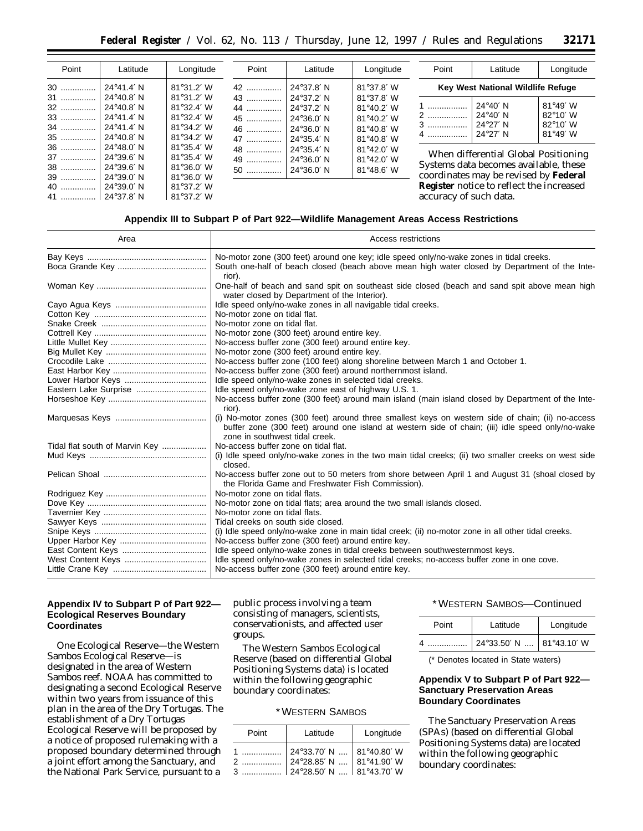| Point | Latitude            | Longitude           | Point | Latitude            | Longitude           | Point                  | Latitude                                     | Longitude         |
|-------|---------------------|---------------------|-------|---------------------|---------------------|------------------------|----------------------------------------------|-------------------|
| $30$  | 24°41.4' N          | $81^{\circ}31.2' W$ |       | 24°37.8′ N          | $81^{\circ}37.8'$ W |                        | Key West National Wildlife Refuge            |                   |
| 31    | 24°40.8' N          | $81^{\circ}31.2' W$ | 43    | 24°37.2′ N          | 81°37.8' W          |                        |                                              |                   |
| 32    | $24^{\circ}40.8'$ N | 81°32.4' W          | 44    | 24°37.2′ N          | $81^{\circ}40.2'$ W | 1                      | $24^{\circ}40'$ N                            | $81^{\circ}49'$ W |
| 33    | 24°41.4' N          | 81°32.4' W          | 45    | $24^{\circ}36.0'$ N | 81°40.2' W          | 2                      | 24°40′ N                                     | $82^{\circ}10'$ W |
| 34    | $24^{\circ}41.4'$ N | 81°34.2' W          | 46    | $24^{\circ}36.0'$ N | 81°40.8' W          | 3                      | 24°27′ N                                     | $82^{\circ}10'$ W |
| 35    | 24°40.8' N          | $81^{\circ}34.2'$ W | 47    | 24°35.4′ N          | 81°40.8' W          | 4                      | 24°27′ N                                     | 81°49' W          |
| 36    | 24°48.0' N          | 81°35.4' W          | 48    | 24°35.4′ N          | 81°42.0' W          |                        |                                              |                   |
| 37    | 24°39.6' N          | $81^{\circ}35.4' W$ | 49    | $24^{\circ}36.0'$ N | 81°42.0' W          |                        | When differential Global Positioning         |                   |
| 38    | 24°39.6' N          | $81^{\circ}36.0'$ W | 50    | 24°36.0' N          | 81°48.6' W          |                        | Systems data becomes available, these        |                   |
| 39    | 24°39.0' N          | $81^{\circ}36.0'$ W |       |                     |                     |                        | coordinates may be revised by <b>Federal</b> |                   |
| 40    | $24^{\circ}39.0'$ N | $81^{\circ}37.2'$ W |       |                     |                     |                        | Register notice to reflect the increased     |                   |
| 41    | 24°37.8′ N          | $81^{\circ}37.2'$ W |       |                     |                     | accuracy of such data. |                                              |                   |

# **Appendix III to Subpart P of Part 922—Wildlife Management Areas Access Restrictions**

| Area                           | Access restrictions                                                                                                                                                                                                                     |  |  |
|--------------------------------|-----------------------------------------------------------------------------------------------------------------------------------------------------------------------------------------------------------------------------------------|--|--|
|                                | No-motor zone (300 feet) around one key; idle speed only/no-wake zones in tidal creeks.                                                                                                                                                 |  |  |
|                                | South one-half of beach closed (beach above mean high water closed by Department of the Inte-<br>rior).                                                                                                                                 |  |  |
|                                | One-half of beach and sand spit on southeast side closed (beach and sand spit above mean high<br>water closed by Department of the Interior).                                                                                           |  |  |
|                                | Idle speed only/no-wake zones in all navigable tidal creeks.                                                                                                                                                                            |  |  |
|                                | No-motor zone on tidal flat.                                                                                                                                                                                                            |  |  |
|                                | No-motor zone on tidal flat.                                                                                                                                                                                                            |  |  |
|                                | No-motor zone (300 feet) around entire key.                                                                                                                                                                                             |  |  |
|                                | No-access buffer zone (300 feet) around entire key.                                                                                                                                                                                     |  |  |
|                                | No-motor zone (300 feet) around entire key.                                                                                                                                                                                             |  |  |
|                                | No-access buffer zone (100 feet) along shoreline between March 1 and October 1.                                                                                                                                                         |  |  |
|                                | No-access buffer zone (300 feet) around northernmost island.                                                                                                                                                                            |  |  |
|                                | Idle speed only/no-wake zones in selected tidal creeks.                                                                                                                                                                                 |  |  |
| Eastern Lake Surprise          | Idle speed only/no-wake zone east of highway U.S. 1.                                                                                                                                                                                    |  |  |
|                                | No-access buffer zone (300 feet) around main island (main island closed by Department of the Inte-<br>rior).                                                                                                                            |  |  |
|                                | (i) No-motor zones (300 feet) around three smallest keys on western side of chain; (ii) no-access<br>buffer zone (300 feet) around one island at western side of chain; (iii) idle speed only/no-wake<br>zone in southwest tidal creek. |  |  |
| Tidal flat south of Marvin Key | No-access buffer zone on tidal flat.                                                                                                                                                                                                    |  |  |
|                                | (i) Idle speed only/no-wake zones in the two main tidal creeks; (ii) two smaller creeks on west side<br>closed.                                                                                                                         |  |  |
|                                | No-access buffer zone out to 50 meters from shore between April 1 and August 31 (shoal closed by<br>the Florida Game and Freshwater Fish Commission).                                                                                   |  |  |
|                                | No-motor zone on tidal flats.                                                                                                                                                                                                           |  |  |
|                                | No-motor zone on tidal flats; area around the two small islands closed.                                                                                                                                                                 |  |  |
|                                | No-motor zone on tidal flats.                                                                                                                                                                                                           |  |  |
|                                | Tidal creeks on south side closed.                                                                                                                                                                                                      |  |  |
|                                | (i) Idle speed only/no-wake zone in main tidal creek; (ii) no-motor zone in all other tidal creeks.                                                                                                                                     |  |  |
|                                | No-access buffer zone (300 feet) around entire key.                                                                                                                                                                                     |  |  |
|                                | Idle speed only/no-wake zones in tidal creeks between southwesternmost keys.                                                                                                                                                            |  |  |
|                                | Idle speed only/no-wake zones in selected tidal creeks; no-access buffer zone in one cove.                                                                                                                                              |  |  |
|                                | No-access buffer zone (300 feet) around entire key.                                                                                                                                                                                     |  |  |

# **Appendix IV to Subpart P of Part 922— Ecological Reserves Boundary Coordinates**

One Ecological Reserve—the Western Sambos Ecological Reserve—is designated in the area of Western Sambos reef. NOAA has committed to designating a second Ecological Reserve within two years from issuance of this plan in the area of the Dry Tortugas. The establishment of a Dry Tortugas Ecological Reserve will be proposed by a notice of proposed rulemaking with a proposed boundary determined through a joint effort among the Sanctuary, and the National Park Service, pursuant to a

public process involving a team consisting of managers, scientists, conservationists, and affected user groups.

The Western Sambos Ecological Reserve (based on differential Global Positioning Systems data) is located within the following geographic boundary coordinates:

## \* WESTERN SAMBOS

| Point | Latitude | Longitude |
|-------|----------|-----------|
|       |          |           |
|       |          |           |

### \* WESTERN SAMBOS—Continued

| Point | Latitude       | Longitude   |
|-------|----------------|-------------|
| Δ     | 24°33.50' N  ' | 81°43.10' W |

(\* Denotes located in State waters)

# **Appendix V to Subpart P of Part 922— Sanctuary Preservation Areas Boundary Coordinates**

The Sanctuary Preservation Areas (SPAs) (based on differential Global Positioning Systems data) are located within the following geographic boundary coordinates: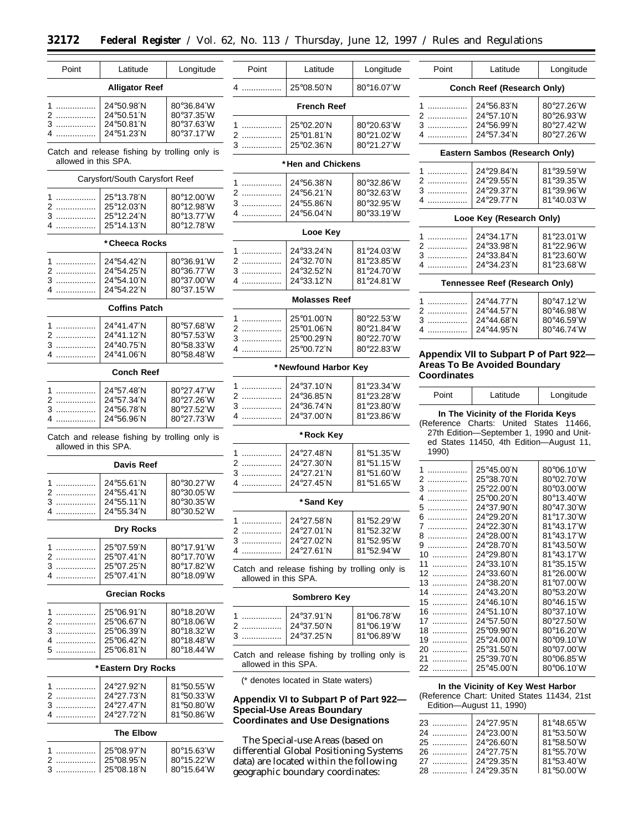-

| Point                | Latitude                                      | Longitude                   | Point                | Latitude                                | Longitude                                     | Point              | Latitude                                    | Longitude                   |
|----------------------|-----------------------------------------------|-----------------------------|----------------------|-----------------------------------------|-----------------------------------------------|--------------------|---------------------------------------------|-----------------------------|
|                      | <b>Alligator Reef</b>                         |                             | 4                    | 25°08.50'N                              | 80°16.07'W                                    |                    | Conch Reef (Research Only)                  |                             |
| 1                    | 24°50.98'N                                    | 80°36.84′W                  |                      | <b>French Reef</b>                      |                                               | 1                  | 24°56.83'N                                  | 80°27.26'W                  |
| 2                    | 24°50.51'N                                    | 80°37.35′W                  |                      |                                         |                                               |                    |                                             |                             |
|                      |                                               |                             |                      |                                         |                                               | 2                  | 24°57.10'N                                  | 80°26.93'W                  |
| 3                    | 24°50.81'N                                    | 80°37.63′W                  | 1                    | 25°02.20'N                              | 80°20.63'W                                    | 3                  | 24°56.99'N                                  | 80°27.42'W                  |
| 4                    | 24°51.23′N                                    | 80°37.17′W                  | 2                    | 25°01.81'N                              | 80°21.02'W                                    | 4                  | 24°57.34'N                                  | 80°27.26'W                  |
|                      |                                               |                             | 3                    | 25°02.36'N                              | 80°21.27′W                                    |                    |                                             |                             |
| allowed in this SPA. | Catch and release fishing by trolling only is |                             |                      | * Hen and Chickens                      |                                               |                    | Eastern Sambos (Research Only)              |                             |
|                      | Carysfort/South Carysfort Reef                |                             |                      |                                         |                                               | 1                  | 24°29.84'N                                  | 81°39.59′W                  |
|                      |                                               |                             | 1                    | 24°56.38'N                              | 80°32.86'W                                    | 2                  | 24°29.55'N                                  | 81°39.35′W                  |
|                      | 25°13.78'N                                    | 80°12.00'W                  | 2                    | 24°56.21'N                              | 80°32.63'W                                    | 3                  | 24°29.37'N                                  | 81°39.96′W                  |
| 1                    |                                               |                             | 3                    | 24°55.86'N                              | 80°32.95'W                                    | 4                  | 24°29.77'N                                  | 81°40.03′W                  |
| 2                    | 25°12.03'N                                    | 80°12.98'W                  |                      |                                         |                                               |                    |                                             |                             |
| 3                    | 25°12.24'N                                    | 80°13.77′W                  | 4                    | 24°56.04'N                              | 80°33.19'W                                    |                    | Looe Key (Research Only)                    |                             |
| 4                    | $25^{\circ}$ 14.13'N                          | 80°12.78′W                  |                      | Looe Key                                |                                               | 1                  | 24°34.17'N                                  | 81°23.01′W                  |
|                      | * Cheeca Rocks                                |                             |                      |                                         |                                               |                    |                                             |                             |
|                      |                                               |                             | 1                    | 24°33.24'N                              | 81°24.03'W                                    | 2                  | 24°33.98'N                                  | 81°22.96′W                  |
|                      |                                               |                             | 2                    | 24°32.70'N                              | 81°23.85'W                                    | 3                  | 24°33.84'N                                  | 81°23.60'W                  |
| 1                    | 24°54.42'N                                    | 80°36.91′W                  |                      |                                         |                                               | 4                  | 24°34.23'N                                  | 81°23.68'W                  |
| 2                    | 24°54.25'N                                    | 80°36.77′W                  | 3                    | 24°32.52'N                              | 81°24.70'W                                    |                    |                                             |                             |
| 3                    | 24°54.10'N                                    | 80°37.00'W                  | 4                    | 24°33.12'N                              | 81°24.81′W                                    |                    | Tennessee Reef (Research Only)              |                             |
| 4.                   | 24°54.22′N                                    | 80°37.15′W                  |                      |                                         |                                               |                    |                                             |                             |
|                      |                                               |                             |                      | <b>Molasses Reef</b>                    |                                               | $1$                | 24°44.77'N                                  | 80°47.12′W                  |
|                      | <b>Coffins Patch</b>                          |                             |                      |                                         |                                               | 2                  | 24°44.57'N                                  | 80°46.98'W                  |
|                      |                                               |                             | 1                    | 25°01.00'N                              | 80°22.53'W                                    |                    |                                             |                             |
| 1                    | 24°41.47'N                                    | 80°57.68'W                  |                      |                                         |                                               | 3                  | 24°44.68'N                                  | 80°46.59′W                  |
|                      |                                               |                             | 2                    | 25°01.06'N                              | 80°21.84′W                                    | 4                  | 24°44.95'N                                  | 80°46.74′W                  |
| 2                    | 24°41.12'N                                    | 80°57.53'W                  | 3                    | 25°00.29'N                              | 80°22.70'W                                    |                    |                                             |                             |
| 3                    | 24°40.75'N                                    | 80°58.33′W                  | 4                    | 25°00.72'N                              | 80°22.83'W                                    |                    |                                             |                             |
| 4                    | 24°41.06'N                                    | 80°58.48'W                  |                      |                                         |                                               |                    | Appendix VII to Subpart P of Part 922-      |                             |
|                      | <b>Conch Reef</b>                             |                             |                      | * Newfound Harbor Key                   |                                               | <b>Coordinates</b> | <b>Areas To Be Avoided Boundary</b>         |                             |
|                      |                                               |                             |                      |                                         |                                               |                    |                                             |                             |
| 1                    | 24°57.48'N                                    | 80°27.47'W                  | 1                    | 24°37.10'N                              | 81°23.34′W                                    |                    |                                             |                             |
| 2                    | 24°57.34'N                                    | 80°27.26'W                  | 2                    | 24°36.85'N                              | 81°23.28'W                                    | Point              | Latitude                                    | Longitude                   |
|                      |                                               |                             | $3$                  | 24°36.74'N                              | 81°23.80'W                                    |                    |                                             |                             |
| 3                    | 24°56.78'N                                    | 80°27.52'W                  | 4                    | 24°37.00'N                              | 81°23.86'W                                    |                    | In The Vicinity of the Florida Keys         |                             |
| 4                    | 24°56.96'N                                    | 80°27.73'W                  |                      |                                         |                                               |                    | (Reference Charts: United States 11466,     |                             |
|                      |                                               |                             |                      |                                         |                                               |                    | 27th Edition-September 1, 1990 and Unit-    |                             |
|                      | Catch and release fishing by trolling only is |                             |                      | * Rock Key                              |                                               |                    | ed States 11450, 4th Edition-August 11,     |                             |
| allowed in this SPA. |                                               |                             |                      |                                         |                                               | 1990)              |                                             |                             |
|                      |                                               |                             | 1                    | 24°27.48'N                              | 81°51.35'W                                    |                    |                                             |                             |
|                      | <b>Davis Reef</b>                             |                             | 2                    | 24°27.30'N                              | 81°51.15'W                                    |                    |                                             |                             |
|                      |                                               |                             | 3                    | 24°27.21'N                              | 81°51.60′W                                    | 1                  | 25°45.00'N                                  | 80°06.10'W                  |
| 1                    | 24°55.61'N                                    | 80°30.27'W                  | 4                    | 24°27.45'N                              | 81°51.65'W                                    | 2                  | 25°38.70'N                                  | 80°02.70′W                  |
| 2                    | 24°55.41′N                                    | 80°30.05′W                  |                      |                                         |                                               | 3                  | 25°22.00'N                                  | 80°03.00'W                  |
|                      |                                               |                             |                      |                                         |                                               | 4.                 | 25°00.20'N                                  | 80°13.40'W                  |
| 3                    | 24°55.11'N                                    | 80°30.35′W                  |                      | * Sand Key                              |                                               | 5                  | 24°37.90'N                                  | 80°47.30′W                  |
| 4                    | 24°55.34′N                                    | 80°30.52′W                  |                      |                                         |                                               |                    |                                             |                             |
|                      |                                               |                             | 1                    | 24°27.58'N                              | 81°52.29'W                                    | 6                  | 24°29.20'N                                  | 81°17.30′W                  |
|                      | Dry Rocks                                     |                             | 2                    | 24°27.01'N                              | 81°52.32′W                                    | 7                  | 24°22.30'N                                  | 81°43.17'W                  |
|                      |                                               |                             | 3                    | 24°27.02'N                              | 81°52.95'W                                    | 8                  | 24°28.00'N                                  | 81°43.17′W                  |
| 1                    | 25°07.59'N                                    | 80°17.91′W                  |                      |                                         |                                               | 9                  | 24°28.70'N                                  | $81^{\circ}43.50^{\prime}W$ |
|                      |                                               |                             | 4                    | 24°27.61'N                              | 81°52.94′W                                    | 10                 | 24°29.80'N                                  | $81^{\circ}43.17^{\prime}W$ |
| 2                    | 25°07.41′N                                    | 80°17.70'W                  |                      |                                         |                                               |                    |                                             |                             |
| 3                    | $25^{\circ}07.25^{\prime}N$                   | 80°17.82'W                  |                      |                                         | Catch and release fishing by trolling only is | 11                 | 24°33.10'N                                  | $81^{\circ}35.15^{\prime}W$ |
| 4                    | 25°07.41'N                                    | 80°18.09'W                  | allowed in this SPA. |                                         |                                               | 12                 | 24°33.60'N                                  | $81^{\circ}26.00^{\prime}W$ |
|                      |                                               |                             |                      |                                         |                                               | 13                 | 24°38.20'N                                  | $81^{\circ}07.00^{\prime}W$ |
|                      | <b>Grecian Rocks</b>                          |                             |                      |                                         |                                               | 14                 | 24°43.20'N                                  | 80°53.20′W                  |
|                      |                                               |                             |                      | Sombrero Key                            |                                               | 15                 | 24°46.10'N                                  | $80^{\circ}46.15^{\prime}W$ |
|                      |                                               |                             |                      |                                         |                                               |                    |                                             |                             |
| 1                    | 25°06.91′N                                    | $80^{\circ}18.20^{\prime}W$ | 1                    | 24°37.91'N                              | 81°06.78′W                                    | 16                 | 24°51.10'N                                  | 80°37.10'W                  |
| 2                    | 25°06.67'N                                    | 80°18.06'W                  |                      |                                         |                                               | 17                 | 24°57.50'N                                  | $80^{\circ}27.50^{\prime}W$ |
| 3                    | 25°06.39'N                                    | 80°18.32′W                  | 2                    | 24°37.50'N                              | $81^{\circ}06.19^{\prime}W$                   | 18                 | 25°09.90'N                                  | $80^{\circ}16.20^{\prime}W$ |
| 4                    | 25°06.42'N                                    | $80^{\circ}18.48^{\prime}W$ | 3                    | 24°37.25'N                              | 81°06.89′W                                    | 19                 | 25°24.00'N                                  | $80^{\circ}09.10^{\prime}W$ |
|                      |                                               |                             |                      |                                         |                                               |                    |                                             |                             |
| 5                    | 25°06.81'N                                    | 80°18.44′W                  |                      |                                         | Catch and release fishing by trolling only is | 20                 | 25°31.50'N                                  | $80^{\circ}07.00^{\prime}W$ |
|                      |                                               |                             | allowed in this SPA. |                                         |                                               | 21                 | 25°39.70'N                                  | $80^{\circ}06.85^{\prime}W$ |
|                      | *Eastern Dry Rocks                            |                             |                      |                                         |                                               | 22                 | 25°45.00'N                                  | $80^{\circ}06.10^{\prime}W$ |
|                      |                                               |                             |                      | (* denotes located in State waters)     |                                               |                    |                                             |                             |
| 1                    | 24°27.92'N                                    | 81°50.55′W                  |                      |                                         |                                               |                    | In the Vicinity of Key West Harbor          |                             |
| 2                    | 24°27.73'N                                    | 81°50.33′W                  |                      |                                         |                                               |                    | (Reference Chart: United States 11434, 21st |                             |
|                      |                                               |                             |                      |                                         | Appendix VI to Subpart P of Part 922-         |                    |                                             |                             |
| 3                    | 24°27.47'N                                    | $81^{\circ}50.80^{\prime}W$ |                      | <b>Special-Use Areas Boundary</b>       |                                               |                    | Edition-August 11, 1990)                    |                             |
| 4                    | 24°27.72′N                                    | 81°50.86'W                  |                      |                                         |                                               |                    |                                             |                             |
|                      |                                               |                             |                      | <b>Coordinates and Use Designations</b> |                                               | 23                 | 24°27.95'N                                  | $81^{\circ}48.65^{\prime}W$ |
|                      | The Elbow                                     |                             |                      |                                         |                                               | 24                 | 24°23.00'N                                  | $81^{\circ}53.50^{\prime}W$ |
|                      |                                               |                             |                      | The Special-use Areas (based on         |                                               |                    |                                             |                             |
|                      |                                               |                             |                      |                                         |                                               | 25                 | 24°26.60'N                                  | $81^{\circ}58.50^{\prime}W$ |
| 1                    | 25°08.97'N                                    | 80°15.63′W                  |                      | differential Global Positioning Systems |                                               | 26                 | 24°27.75'N                                  | $81^{\circ}55.70^{\prime}W$ |
| 2                    | 25°08.95'N                                    | 80°15.22′W                  |                      | data) are located within the following  |                                               | 27                 | 24°29.35'N                                  | 81°53.40′W                  |
| 3                    | 25°08.18′N                                    | 80°15.64′W                  |                      | geographic boundary coordinates:        |                                               | 28                 | 24°29.35'N                                  | 81°50.00'W                  |
|                      |                                               |                             |                      |                                         |                                               |                    |                                             |                             |

data) are located within the following geographic boundary coordinates: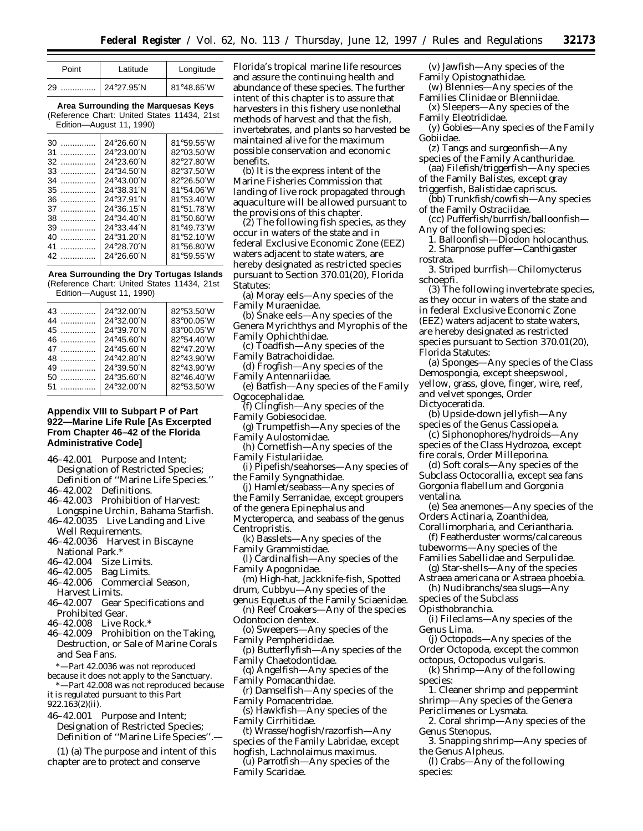| Point | Latitude   | Longitude  |
|-------|------------|------------|
| 29    | 24°27.95'N | 81°48.65'W |

**Area Surrounding the Marquesas Keys** (Reference Chart: United States 11434, 21st Edition—August 11, 1990)

| 30.<br>. | 24°26.60'N                   | 81°59.55'W |
|----------|------------------------------|------------|
| 31<br>.  | 24°23.00'N                   | 82°03.50′W |
| 32       | 24°23.60'N                   | 82°27.80′W |
| $33$     | 24°34.50'N                   | 82°37.50′W |
| 34<br>.  | 24°43.00'N                   | 82°26.50′W |
| 35       | 24°38.31′N                   | 81°54.06′W |
| $36$     | 24°37.91'N                   | 81°53.40'W |
| 37<br>.  | $24^{\circ}36.15^{\prime}$ N | 81°51.78'W |
| .<br>38  | 24°34.40'N                   | 81°50.60′W |
| .<br>39  | 24°33.44'N                   | 81°49.73'W |
| 40<br>   | 24°31.20'N                   | 81°52.10'W |
| .<br>41  | 24°28.70'N                   | 81°56.80'W |
| 42       | 24°26.60′N                   | 81°59.55'W |
|          |                              |            |

**Area Surrounding the Dry Tortugas Islands** (Reference Chart: United States 11434, 21st Edition—August 11, 1990)

| $43$    | 24°32.00'N | 82°53.50'W |
|---------|------------|------------|
| 44      | 24°32.00'N | 83°00.05'W |
|         | 24°39.70'N | 83°00.05'W |
| $46$    | 24°45.60'N | 82°54.40'W |
| 47      | 24°45.60'N | 82°47.20'W |
| 48      | 24°42.80'N | 82°43.90'W |
| 49<br>. | 24°39.50'N | 82°43.90'W |
| 50<br>. | 24°35.60'N | 82°46.40'W |
| 51      | 24°32.00'N | 82°53.50'W |
|         |            |            |

## **Appendix VIII to Subpart P of Part 922—Marine Life Rule [As Excerpted From Chapter 46–42 of the Florida Administrative Code]**

46–42.001 Purpose and Intent;

Designation of Restricted Species; Definition of ''Marine Life Species.''

- 46–42.002 Definitions.
- 46–42.003 Prohibition of Harvest: Longspine Urchin, Bahama Starfish.
- 46–42.0035 Live Landing and Live Well Requirements.
- 46–42.0036 Harvest in Biscayne National Park.\*
- 46–42.004 Size Limits.
- 46–42.005 Bag Limits.
- 46–42.006 Commercial Season, Harvest Limits.
- 46–42.007 Gear Specifications and Prohibited Gear.
- 46–42.008 Live Rock.\*
- 46–42.009 Prohibition on the Taking, Destruction, or Sale of Marine Corals and Sea Fans.
- \*—Part 42.0036 was not reproduced

because it does not apply to the Sanctuary. \*—Part 42.008 was not reproduced because it is regulated pursuant to this Part 922.163(2)(ii).

46–42.001 Purpose and Intent; Designation of Restricted Species; Definition of ''Marine Life Species''.—

(1) (a) The purpose and intent of this chapter are to protect and conserve

Florida's tropical marine life resources and assure the continuing health and abundance of these species. The further intent of this chapter is to assure that harvesters in this fishery use nonlethal methods of harvest and that the fish, invertebrates, and plants so harvested be maintained alive for the maximum possible conservation and economic benefits.

(b) It is the express intent of the Marine Fisheries Commission that landing of live rock propagated through aquaculture will be allowed pursuant to the provisions of this chapter.

(2) The following fish species, as they occur in waters of the state and in federal Exclusive Economic Zone (EEZ) waters adjacent to state waters, are hereby designated as restricted species pursuant to Section 370.01(20), Florida Statutes:

- (a) Moray eels—Any species of the Family Muraenidae.
- (b) Snake eels—Any species of the Genera Myrichthys and Myrophis of the Family Ophichthidae.
- (c) Toadfish—Any species of the Family Batrachoididae.
- (d) Frogfish—Any species of the Family Antennariidae.
- (e) Batfish—Any species of the Family Ogcocephalidae.
- (f) Clingfish—Any species of the Family Gobiesocidae.
- (g) Trumpetfish—Any species of the Family Aulostomidae.
- (h) Cornetfish—Any species of the Family Fistulariidae.
- (i) Pipefish/seahorses—Any species of the Family Syngnathidae.
- (j) Hamlet/seabass—Any species of
- the Family Serranidae, except groupers
- of the genera Epinephalus and
- Mycteroperca, and seabass of the genus Centropristis.
- (k) Basslets—Any species of the Family Grammistidae.
- (l) Cardinalfish—Any species of the Family Apogonidae.
- (m) High-hat, Jackknife-fish, Spotted drum, Cubbyu—Any species of the
- genus Equetus of the Family Sciaenidae. (n) Reef Croakers—Any of the species Odontocion dentex.
- (o) Sweepers—Any species of the Family Pempherididae.
- (p) Butterflyfish—Any species of the Family Chaetodontidae.
- (q) Angelfish—Any species of the Family Pomacanthidae.
- (r) Damselfish—Any species of the Family Pomacentridae.

(s) Hawkfish—Any species of the Family Cirrhitidae.

- (t) Wrasse/hogfish/razorfish—Any species of the Family Labridae, except
- hogfish, Lachnolaimus maximus.
- (u) Parrotfish—Any species of the Family Scaridae.
- (v) Jawfish—Any species of the Family Opistognathidae.
- (w) Blennies—Any species of the Families Clinidae or Blenniidae.
- (x) Sleepers—Any species of the Family Eleotrididae.
- (y) Gobies—Any species of the Family Gobiidae.
- (z) Tangs and surgeonfish—Any species of the Family Acanthuridae.
- (aa) Filefish/triggerfish—Any species of the Family Balistes, except gray
- triggerfish, Balistidae capriscus.
- (bb) Trunkfish/cowfish—Any species of the Family Ostraciidae.
- (cc) Pufferfish/burrfish/balloonfish— Any of the following species:
	- 1. Balloonfish—Diodon holocanthus. 2. Sharpnose puffer—Canthigaster
- rostrata. 3. Striped burrfish—Chilomycterus

schoepfi.

- (3) The following invertebrate species, as they occur in waters of the state and in federal Exclusive Economic Zone (EEZ) waters adjacent to state waters, are hereby designated as restricted species pursuant to Section 370.01(20), Florida Statutes:
- (a) Sponges—Any species of the Class Demospongia, except sheepswool, yellow, grass, glove, finger, wire, reef, and velvet sponges, Order Dictyoceratida.
- (b) Upside-down jellyfish—Any species of the Genus Cassiopeia.
- (c) Siphonophores/hydroids—Any species of the Class Hydrozoa, except
- fire corals, Order Milleporina. (d) Soft corals—Any species of the
- Subclass Octocorallia, except sea fans Gorgonia flabellum and Gorgonia ventalina.
- (e) Sea anemones—Any species of the Orders Actinaria, Zoanthidea,
- Corallimorpharia, and Ceriantharia. (f) Featherduster worms/calcareous
- tubeworms—Any species of the Families Sabellidae and Serpulidae.
- (g) Star-shells—Any of the species Astraea americana or Astraea phoebia.
- (h) Nudibranchs/sea slugs—Any species of the Subclass
- Opisthobranchia.
- (i) Fileclams—Any species of the Genus Lima.
- (j) Octopods—Any species of the Order Octopoda, except the common
- octopus, Octopodus vulgaris.
- (k) Shrimp—Any of the following species:
- 1. Cleaner shrimp and peppermint shrimp—Any species of the Genera Periclimenes or Lysmata.
- 2. Coral shrimp—Any species of the Genus Stenopus.
- 3. Snapping shrimp—Any species of the Genus Alpheus.
- (l) Crabs—Any of the following species: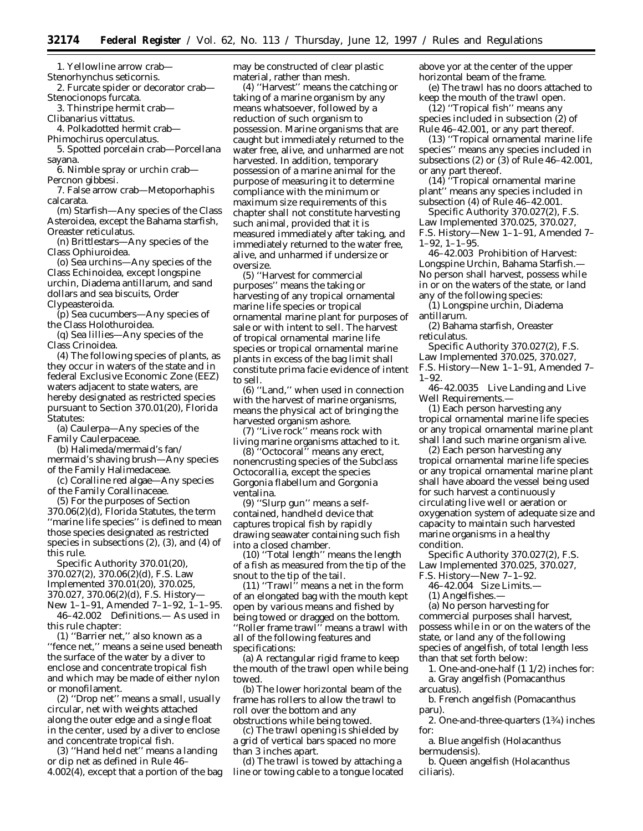1. Yellowline arrow crab—

Stenorhynchus seticornis.

2. Furcate spider or decorator crab— Stenocionops furcata.

3. Thinstripe hermit crab—

Clibanarius vittatus.

4. Polkadotted hermit crab—

Phimochirus operculatus.

5. Spotted porcelain crab—Porcellana sayana.

6. Nimble spray or urchin crab— Percnon gibbesi.

7. False arrow crab—Metoporhaphis calcarata.

(m) Starfish—Any species of the Class Asteroidea, except the Bahama starfish, Oreaster reticulatus.

(n) Brittlestars—Any species of the Class Ophiuroidea.

(o) Sea urchins—Any species of the Class Echinoidea, except longspine urchin, Diadema antillarum, and sand dollars and sea biscuits, Order Clypeasteroida.

(p) Sea cucumbers—Any species of the Class Holothuroidea.

(q) Sea lillies—Any species of the Class Crinoidea.

(4) The following species of plants, as they occur in waters of the state and in federal Exclusive Economic Zone (EEZ) waters adjacent to state waters, are hereby designated as restricted species pursuant to Section 370.01(20), Florida Statutes:

(a) Caulerpa—Any species of the Family Caulerpaceae.

(b) Halimeda/mermaid's fan/ mermaid's shaving brush—Any species

of the Family Halimedaceae. (c) Coralline red algae—Any species

of the Family Corallinaceae.

(5) For the purposes of Section 370.06(2)(d), Florida Statutes, the term ''marine life species'' is defined to mean those species designated as restricted species in subsections (2), (3), and (4) of this rule.

Specific Authority 370.01(20), 370.027(2), 370.06(2)(d), F.S. Law Implemented 370.01(20), 370.025, 370.027, 370.06(2)(d), F.S. History— New 1–1–91, Amended 7–1–92, 1–1–95.

46–42.002 Definitions.— As used in this rule chapter:

(1) ''Barrier net,'' also known as a ''fence net,'' means a seine used beneath the surface of the water by a diver to enclose and concentrate tropical fish and which may be made of either nylon or monofilament.

(2) ''Drop net'' means a small, usually circular, net with weights attached along the outer edge and a single float in the center, used by a diver to enclose and concentrate tropical fish.

(3) ''Hand held net'' means a landing or dip net as defined in Rule 46– 4.002(4), except that a portion of the bag may be constructed of clear plastic material, rather than mesh.

(4) ''Harvest'' means the catching or taking of a marine organism by any means whatsoever, followed by a reduction of such organism to possession. Marine organisms that are caught but immediately returned to the water free, alive, and unharmed are not harvested. In addition, temporary possession of a marine animal for the purpose of measuring it to determine compliance with the minimum or maximum size requirements of this chapter shall not constitute harvesting such animal, provided that it is measured immediately after taking, and immediately returned to the water free, alive, and unharmed if undersize or oversize.

(5) ''Harvest for commercial purposes'' means the taking or harvesting of any tropical ornamental marine life species or tropical ornamental marine plant for purposes of sale or with intent to sell. The harvest of tropical ornamental marine life species or tropical ornamental marine plants in excess of the bag limit shall constitute prima facie evidence of intent to sell.

(6) ''Land,'' when used in connection with the harvest of marine organisms, means the physical act of bringing the harvested organism ashore.

(7) ''Live rock'' means rock with living marine organisms attached to it.

(8) ''Octocoral'' means any erect, nonencrusting species of the Subclass Octocorallia, except the species Gorgonia flabellum and Gorgonia ventalina.

(9) ''Slurp gun'' means a selfcontained, handheld device that captures tropical fish by rapidly drawing seawater containing such fish into a closed chamber.

(10) ''Total length'' means the length of a fish as measured from the tip of the snout to the tip of the tail.

(11) ''Trawl'' means a net in the form of an elongated bag with the mouth kept open by various means and fished by being towed or dragged on the bottom. ''Roller frame trawl'' means a trawl with all of the following features and specifications:

(a) A rectangular rigid frame to keep the mouth of the trawl open while being towed.

(b) The lower horizontal beam of the frame has rollers to allow the trawl to roll over the bottom and any obstructions while being towed.

(c) The trawl opening is shielded by a grid of vertical bars spaced no more than 3 inches apart.

(d) The trawl is towed by attaching a line or towing cable to a tongue located above yor at the center of the upper horizontal beam of the frame.

(e) The trawl has no doors attached to keep the mouth of the trawl open.

 $(12)$  "Tropical fish" means any species included in subsection (2) of Rule 46–42.001, or any part thereof.

(13) ''Tropical ornamental marine life species'' means any species included in subsections (2) or (3) of Rule 46–42.001, or any part thereof.

(14) ''Tropical ornamental marine plant'' means any species included in subsection (4) of Rule 46–42.001.

Specific Authority 370.027(2), F.S. Law Implemented 370.025, 370.027, F.S. History—New 1–1–91, Amended 7– 1–92, 1–1–95.

46–42.003 Prohibition of Harvest: Longspine Urchin, Bahama Starfish.— No person shall harvest, possess while in or on the waters of the state, or land any of the following species:

(1) Longspine urchin, Diadema antillarum.

(2) Bahama starfish, Oreaster reticulatus.

Specific Authority 370.027(2), F.S. Law Implemented 370.025, 370.027, F.S. History—New 1–1–91, Amended 7– 1–92.

46–42.0035 Live Landing and Live Well Requirements.—

(1) Each person harvesting any tropical ornamental marine life species or any tropical ornamental marine plant shall land such marine organism alive.

(2) Each person harvesting any tropical ornamental marine life species or any tropical ornamental marine plant shall have aboard the vessel being used for such harvest a continuously circulating live well or aeration or oxygenation system of adequate size and capacity to maintain such harvested marine organisms in a healthy condition.

Specific Authority 370.027(2), F.S. Law Implemented 370.025, 370.027,

F.S. History—New 7–1–92. 46–42.004 Size Limits.—

(1) Angelfishes.—

(a) No person harvesting for commercial purposes shall harvest, possess while in or on the waters of the state, or land any of the following species of angelfish, of total length less than that set forth below:

1. One-and-one-half (1 1/2) inches for: a. Gray angelfish (Pomacanthus arcuatus).

b. French angelfish (Pomacanthus paru).

2. One-and-three-quarters (13⁄4) inches for:

a. Blue angelfish (Holacanthus bermudensis).

b. Queen angelfish (Holacanthus ciliaris).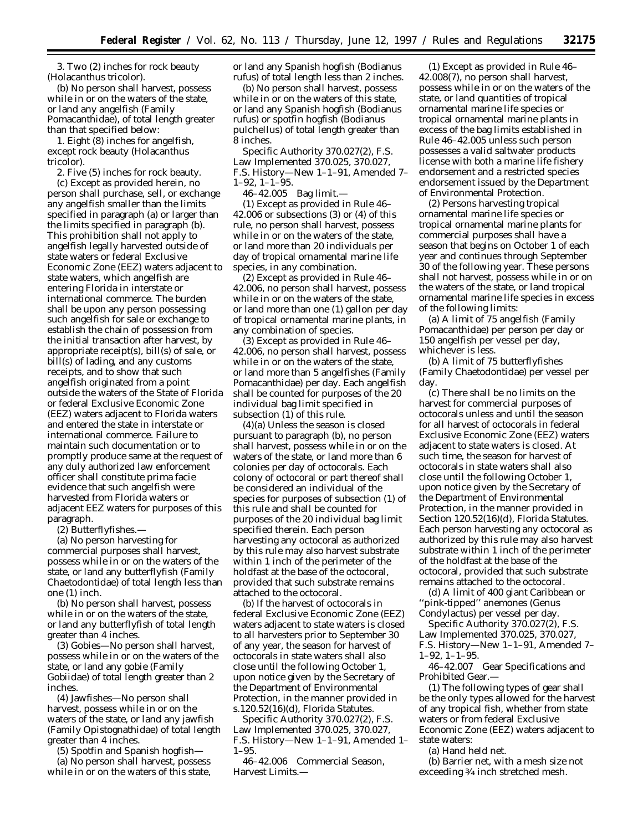3. Two (2) inches for rock beauty (Holacanthus tricolor).

(b) No person shall harvest, possess while in or on the waters of the state, or land any angelfish (Family Pomacanthidae), of total length greater than that specified below:

1. Eight (8) inches for angelfish, except rock beauty (Holacanthus tricolor).

2. Five (5) inches for rock beauty.

(c) Except as provided herein, no person shall purchase, sell, or exchange any angelfish smaller than the limits specified in paragraph (a) or larger than the limits specified in paragraph (b). This prohibition shall not apply to angelfish legally harvested outside of state waters or federal Exclusive Economic Zone (EEZ) waters adjacent to state waters, which angelfish are entering Florida in interstate or international commerce. The burden shall be upon any person possessing such angelfish for sale or exchange to establish the chain of possession from the initial transaction after harvest, by appropriate receipt(s), bill(s) of sale, or bill(s) of lading, and any customs receipts, and to show that such angelfish originated from a point outside the waters of the State of Florida or federal Exclusive Economic Zone (EEZ) waters adjacent to Florida waters and entered the state in interstate or international commerce. Failure to maintain such documentation or to promptly produce same at the request of any duly authorized law enforcement officer shall constitute prima facie evidence that such angelfish were harvested from Florida waters or adjacent EEZ waters for purposes of this paragraph.

(2) Butterflyfishes.—

(a) No person harvesting for commercial purposes shall harvest, possess while in or on the waters of the state, or land any butterflyfish (Family Chaetodontidae) of total length less than one (1) inch.

(b) No person shall harvest, possess while in or on the waters of the state, or land any butterflyfish of total length greater than 4 inches.

(3) Gobies—No person shall harvest, possess while in or on the waters of the state, or land any gobie (Family Gobiidae) of total length greater than 2 inches.

(4) Jawfishes—No person shall harvest, possess while in or on the waters of the state, or land any jawfish (Family Opistognathidae) of total length greater than 4 inches.

(5) Spotfin and Spanish hogfish—

(a) No person shall harvest, possess while in or on the waters of this state,

or land any Spanish hogfish (Bodianus rufus) of total length less than 2 inches.

(b) No person shall harvest, possess while in or on the waters of this state, or land any Spanish hogfish (Bodianus rufus) or spotfin hogfish (Bodianus pulchellus) of total length greater than 8 inches.

Specific Authority 370.027(2), F.S. Law Implemented 370.025, 370.027, F.S. History—New 1–1–91, Amended 7– 1–92, 1–1–95.

46–42.005 Bag limit.—

(1) Except as provided in Rule 46– 42.006 or subsections (3) or (4) of this rule, no person shall harvest, possess while in or on the waters of the state, or land more than 20 individuals per day of tropical ornamental marine life species, in any combination.

(2) Except as provided in Rule 46– 42.006, no person shall harvest, possess while in or on the waters of the state, or land more than one (1) gallon per day of tropical ornamental marine plants, in any combination of species.

(3) Except as provided in Rule 46– 42.006, no person shall harvest, possess while in or on the waters of the state, or land more than 5 angelfishes (Family Pomacanthidae) per day. Each angelfish shall be counted for purposes of the 20 individual bag limit specified in subsection (1) of this rule.

(4)(a) Unless the season is closed pursuant to paragraph (b), no person shall harvest, possess while in or on the waters of the state, or land more than 6 colonies per day of octocorals. Each colony of octocoral or part thereof shall be considered an individual of the species for purposes of subsection (1) of this rule and shall be counted for purposes of the 20 individual bag limit specified therein. Each person harvesting any octocoral as authorized by this rule may also harvest substrate within 1 inch of the perimeter of the holdfast at the base of the octocoral, provided that such substrate remains attached to the octocoral.

(b) If the harvest of octocorals in federal Exclusive Economic Zone (EEZ) waters adjacent to state waters is closed to all harvesters prior to September 30 of any year, the season for harvest of octocorals in state waters shall also close until the following October 1, upon notice given by the Secretary of the Department of Environmental Protection, in the manner provided in s.120.52(16)(d), Florida Statutes.

Specific Authority 370.027(2), F.S. Law Implemented 370.025, 370.027, F.S. History—New 1–1–91, Amended 1– 1–95.

46–42.006 Commercial Season, Harvest Limits.—

(1) Except as provided in Rule 46– 42.008(7), no person shall harvest, possess while in or on the waters of the state, or land quantities of tropical ornamental marine life species or tropical ornamental marine plants in excess of the bag limits established in Rule 46–42.005 unless such person possesses a valid saltwater products license with both a marine life fishery endorsement and a restricted species endorsement issued by the Department of Environmental Protection.

(2) Persons harvesting tropical ornamental marine life species or tropical ornamental marine plants for commercial purposes shall have a season that begins on October 1 of each year and continues through September 30 of the following year. These persons shall not harvest, possess while in or on the waters of the state, or land tropical ornamental marine life species in excess of the following limits:

(a) A limit of 75 angelfish (Family Pomacanthidae) per person per day or 150 angelfish per vessel per day, whichever is less.

(b) A limit of 75 butterflyfishes (Family Chaetodontidae) per vessel per day.

(c) There shall be no limits on the harvest for commercial purposes of octocorals unless and until the season for all harvest of octocorals in federal Exclusive Economic Zone (EEZ) waters adjacent to state waters is closed. At such time, the season for harvest of octocorals in state waters shall also close until the following October 1, upon notice given by the Secretary of the Department of Environmental Protection, in the manner provided in Section 120.52(16)(d), Florida Statutes. Each person harvesting any octocoral as authorized by this rule may also harvest substrate within 1 inch of the perimeter of the holdfast at the base of the octocoral, provided that such substrate remains attached to the octocoral.

(d) A limit of 400 giant Caribbean or 'pink-tipped'' anemones (Genus Condylactus) per vessel per day.

Specific Authority 370.027(2), F.S. Law Implemented 370.025, 370.027, F.S. History—New 1–1–91, Amended 7– 1–92, 1–1–95.

46–42.007 Gear Specifications and Prohibited Gear.—

(1) The following types of gear shall be the only types allowed for the harvest of any tropical fish, whether from state waters or from federal Exclusive Economic Zone (EEZ) waters adjacent to state waters:

(a) Hand held net.

(b) Barrier net, with a mesh size not exceeding 3⁄4 inch stretched mesh.